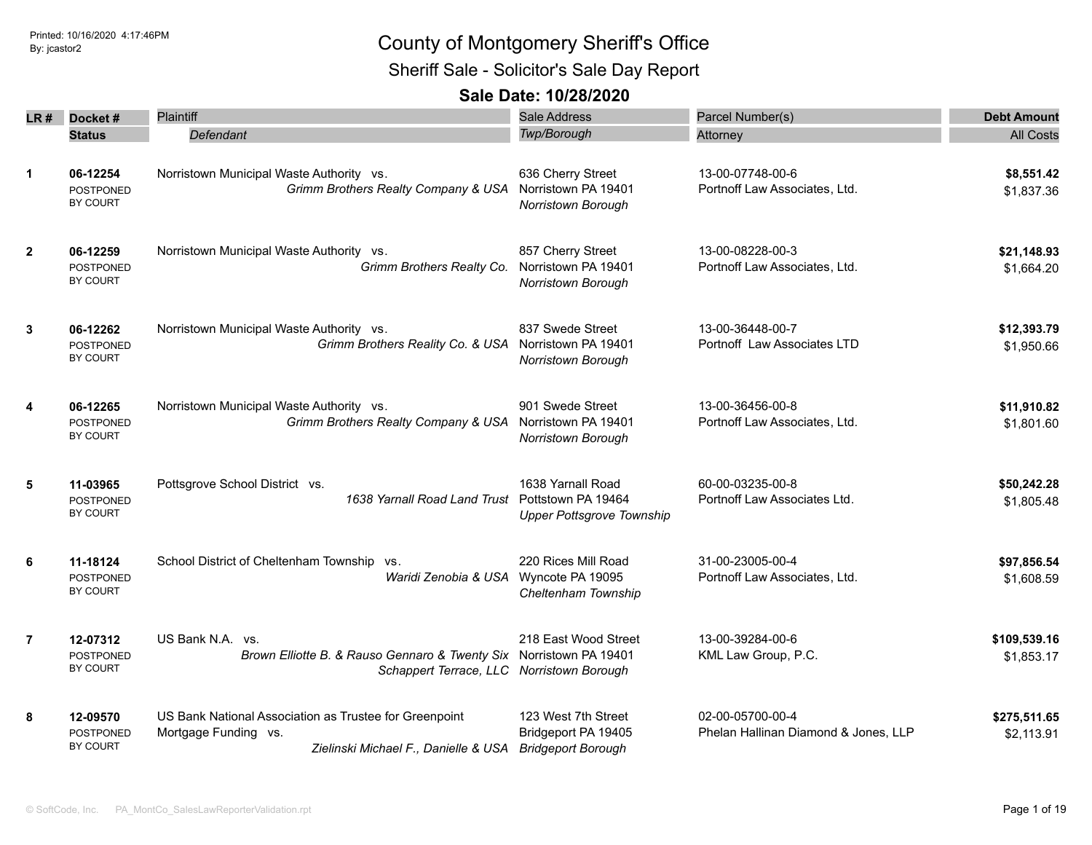Sheriff Sale - Solicitor's Sale Day Report

| LR #           | Docket#                                         | Plaintiff                                                                                                                           | Sale Address                                                                | Parcel Number(s)                                         | <b>Debt Amount</b>         |
|----------------|-------------------------------------------------|-------------------------------------------------------------------------------------------------------------------------------------|-----------------------------------------------------------------------------|----------------------------------------------------------|----------------------------|
|                | <b>Status</b>                                   | Defendant                                                                                                                           | Twp/Borough                                                                 | Attorney                                                 | <b>All Costs</b>           |
| $\mathbf{1}$   | 06-12254<br><b>POSTPONED</b><br>BY COURT        | Norristown Municipal Waste Authority vs.<br>Grimm Brothers Realty Company & USA                                                     | 636 Cherry Street<br>Norristown PA 19401<br>Norristown Borough              | 13-00-07748-00-6<br>Portnoff Law Associates, Ltd.        | \$8,551.42<br>\$1,837.36   |
| $\mathbf{2}$   | 06-12259<br><b>POSTPONED</b><br>BY COURT        | Norristown Municipal Waste Authority vs.<br>Grimm Brothers Realty Co.                                                               | 857 Cherry Street<br>Norristown PA 19401<br>Norristown Borough              | 13-00-08228-00-3<br>Portnoff Law Associates, Ltd.        | \$21,148.93<br>\$1,664.20  |
| 3              | 06-12262<br>POSTPONED<br>BY COURT               | Norristown Municipal Waste Authority vs.<br>Grimm Brothers Reality Co. & USA                                                        | 837 Swede Street<br>Norristown PA 19401<br><b>Norristown Borough</b>        | 13-00-36448-00-7<br>Portnoff Law Associates LTD          | \$12,393.79<br>\$1,950.66  |
| 4              | 06-12265<br><b>POSTPONED</b><br><b>BY COURT</b> | Norristown Municipal Waste Authority vs.<br>Grimm Brothers Realty Company & USA                                                     | 901 Swede Street<br>Norristown PA 19401<br><b>Norristown Borough</b>        | 13-00-36456-00-8<br>Portnoff Law Associates, Ltd.        | \$11,910.82<br>\$1,801.60  |
| 5              | 11-03965<br>POSTPONED<br><b>BY COURT</b>        | Pottsgrove School District vs.<br>1638 Yarnall Road Land Trust                                                                      | 1638 Yarnall Road<br>Pottstown PA 19464<br><b>Upper Pottsgrove Township</b> | 60-00-03235-00-8<br>Portnoff Law Associates Ltd.         | \$50,242.28<br>\$1,805.48  |
| 6              | 11-18124<br><b>POSTPONED</b><br>BY COURT        | School District of Cheltenham Township vs.<br>Waridi Zenobia & USA                                                                  | 220 Rices Mill Road<br>Wyncote PA 19095<br>Cheltenham Township              | 31-00-23005-00-4<br>Portnoff Law Associates, Ltd.        | \$97,856.54<br>\$1,608.59  |
| $\overline{7}$ | 12-07312<br><b>POSTPONED</b><br><b>BY COURT</b> | US Bank N.A. vs.<br>Brown Elliotte B. & Rauso Gennaro & Twenty Six Norristown PA 19401<br>Schappert Terrace, LLC Norristown Borough | 218 East Wood Street                                                        | 13-00-39284-00-6<br>KML Law Group, P.C.                  | \$109,539.16<br>\$1,853.17 |
| 8              | 12-09570<br><b>POSTPONED</b><br>BY COURT        | US Bank National Association as Trustee for Greenpoint<br>Mortgage Funding vs.<br>Zielinski Michael F., Danielle & USA              | 123 West 7th Street<br>Bridgeport PA 19405<br><b>Bridgeport Borough</b>     | 02-00-05700-00-4<br>Phelan Hallinan Diamond & Jones, LLP | \$275,511.65<br>\$2,113.91 |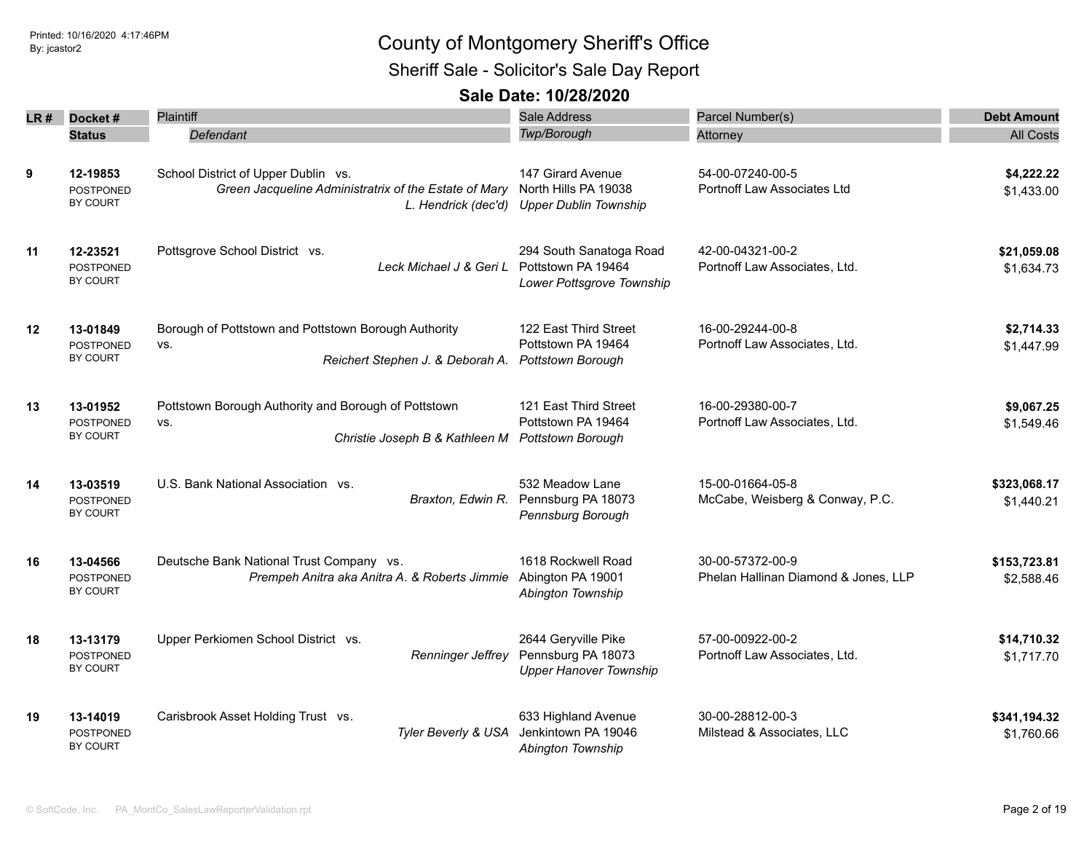Sheriff Sale - Solicitor's Sale Day Report

| LR # | Docket#<br><b>Status</b>                        | <b>Plaintiff</b><br>Defendant                                                                   | <b>Sale Address</b><br>Twp/Borough                                                     | Parcel Number(s)<br>Attorney                             | <b>Debt Amount</b><br><b>All Costs</b> |
|------|-------------------------------------------------|-------------------------------------------------------------------------------------------------|----------------------------------------------------------------------------------------|----------------------------------------------------------|----------------------------------------|
| 9    | 12-19853<br><b>POSTPONED</b><br>BY COURT        | School District of Upper Dublin vs.<br>Green Jacqueline Administratrix of the Estate of Mary    | 147 Girard Avenue<br>North Hills PA 19038<br>L. Hendrick (dec'd) Upper Dublin Township | 54-00-07240-00-5<br>Portnoff Law Associates Ltd          | \$4,222.22<br>\$1,433.00               |
| 11   | 12-23521<br><b>POSTPONED</b><br>BY COURT        | Pottsgrove School District vs.<br>Leck Michael J & Geri L Pottstown PA 19464                    | 294 South Sanatoga Road<br>Lower Pottsgrove Township                                   | 42-00-04321-00-2<br>Portnoff Law Associates, Ltd.        | \$21,059.08<br>\$1,634.73              |
| 12   | 13-01849<br><b>POSTPONED</b><br>BY COURT        | Borough of Pottstown and Pottstown Borough Authority<br>VS.<br>Reichert Stephen J. & Deborah A. | 122 East Third Street<br>Pottstown PA 19464<br>Pottstown Borough                       | 16-00-29244-00-8<br>Portnoff Law Associates, Ltd.        | \$2,714.33<br>\$1,447.99               |
| 13   | 13-01952<br><b>POSTPONED</b><br><b>BY COURT</b> | Pottstown Borough Authority and Borough of Pottstown<br>VS.<br>Christie Joseph B & Kathleen M   | 121 East Third Street<br>Pottstown PA 19464<br>Pottstown Borough                       | 16-00-29380-00-7<br>Portnoff Law Associates, Ltd.        | \$9,067.25<br>\$1,549.46               |
| 14   | 13-03519<br><b>POSTPONED</b><br>BY COURT        | U.S. Bank National Association vs.<br>Braxton, Edwin R.                                         | 532 Meadow Lane<br>Pennsburg PA 18073<br>Pennsburg Borough                             | 15-00-01664-05-8<br>McCabe, Weisberg & Conway, P.C.      | \$323,068.17<br>\$1,440.21             |
| 16   | 13-04566<br><b>POSTPONED</b><br>BY COURT        | Deutsche Bank National Trust Company vs.<br>Prempeh Anitra aka Anitra A. & Roberts Jimmie       | 1618 Rockwell Road<br>Abington PA 19001<br>Abington Township                           | 30-00-57372-00-9<br>Phelan Hallinan Diamond & Jones, LLP | \$153,723.81<br>\$2,588.46             |
| 18   | 13-13179<br><b>POSTPONED</b><br>BY COURT        | Upper Perkiomen School District vs.<br><b>Renninger Jeffrey</b>                                 | 2644 Geryville Pike<br>Pennsburg PA 18073<br><b>Upper Hanover Township</b>             | 57-00-00922-00-2<br>Portnoff Law Associates, Ltd.        | \$14,710.32<br>\$1,717.70              |
| 19   | 13-14019<br>POSTPONED<br>BY COURT               | Carisbrook Asset Holding Trust vs.<br>Tyler Beverly & USA                                       | 633 Highland Avenue<br>Jenkintown PA 19046<br>Abington Township                        | 30-00-28812-00-3<br>Milstead & Associates, LLC           | \$341,194.32<br>\$1,760.66             |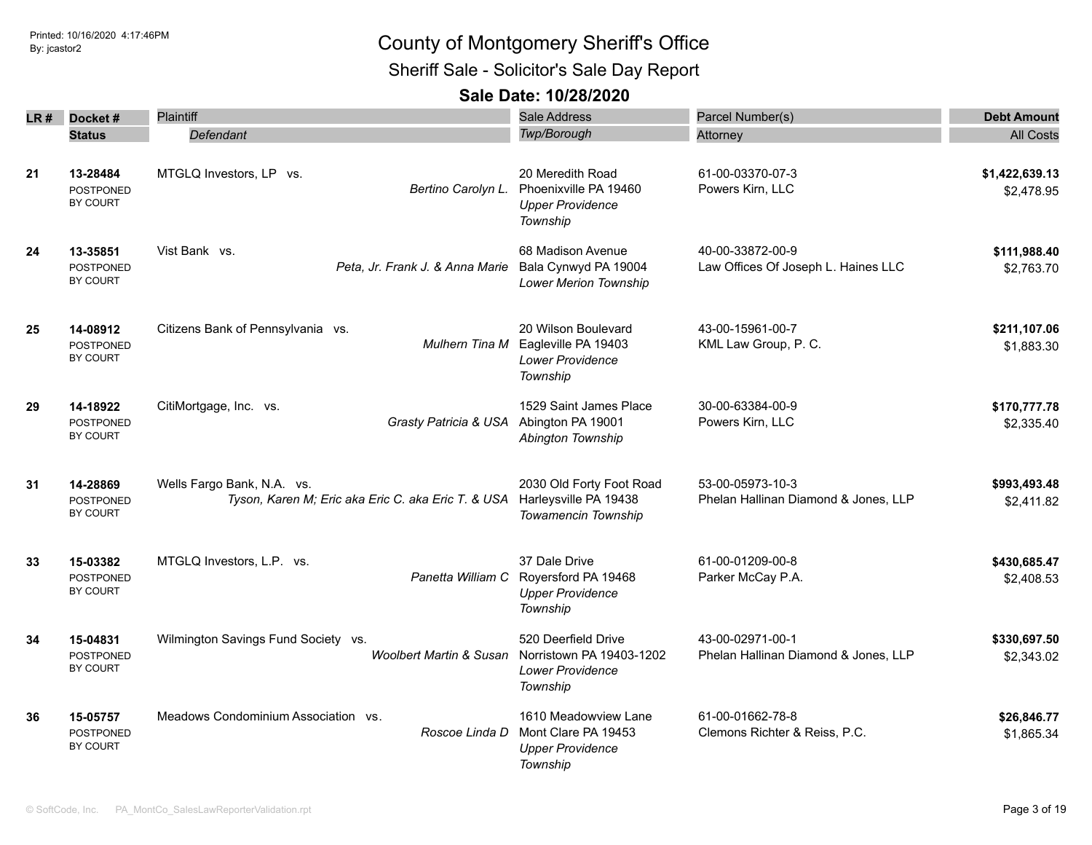### Printed: 10/16/2020 4:17:46PM By: jcastor2 County of Montgomery Sheriff's Office Sheriff Sale - Solicitor's Sale Day Report

|    | LR# Docket#                                     | Plaintiff                                                                        | <b>Sale Address</b>                                                                       | Parcel Number(s)                                         | <b>Debt Amount</b>           |
|----|-------------------------------------------------|----------------------------------------------------------------------------------|-------------------------------------------------------------------------------------------|----------------------------------------------------------|------------------------------|
|    | <b>Status</b>                                   | Defendant                                                                        | <b>Twp/Borough</b>                                                                        | Attorney                                                 | <b>All Costs</b>             |
| 21 | 13-28484<br><b>POSTPONED</b><br>BY COURT        | MTGLQ Investors, LP vs.<br>Bertino Carolyn L.                                    | 20 Meredith Road<br>Phoenixville PA 19460<br><b>Upper Providence</b><br>Township          | 61-00-03370-07-3<br>Powers Kirn, LLC                     | \$1,422,639.13<br>\$2,478.95 |
| 24 | 13-35851<br><b>POSTPONED</b><br>BY COURT        | Vist Bank vs.<br>Peta, Jr. Frank J. & Anna Marie                                 | 68 Madison Avenue<br>Bala Cynwyd PA 19004<br><b>Lower Merion Township</b>                 | 40-00-33872-00-9<br>Law Offices Of Joseph L. Haines LLC  | \$111,988.40<br>\$2,763.70   |
| 25 | 14-08912<br>POSTPONED<br>BY COURT               | Citizens Bank of Pennsylvania vs.                                                | 20 Wilson Boulevard<br>Mulhern Tina M Eagleville PA 19403<br>Lower Providence<br>Township | 43-00-15961-00-7<br>KML Law Group, P. C.                 | \$211,107.06<br>\$1,883.30   |
| 29 | 14-18922<br><b>POSTPONED</b><br>BY COURT        | CitiMortgage, Inc. vs.<br>Grasty Patricia & USA                                  | 1529 Saint James Place<br>Abington PA 19001<br>Abington Township                          | 30-00-63384-00-9<br>Powers Kirn, LLC                     | \$170,777.78<br>\$2,335.40   |
| 31 | 14-28869<br><b>POSTPONED</b><br><b>BY COURT</b> | Wells Fargo Bank, N.A. vs.<br>Tyson, Karen M; Eric aka Eric C. aka Eric T. & USA | 2030 Old Forty Foot Road<br>Harleysville PA 19438<br>Towamencin Township                  | 53-00-05973-10-3<br>Phelan Hallinan Diamond & Jones, LLP | \$993,493.48<br>\$2,411.82   |
| 33 | 15-03382<br><b>POSTPONED</b><br>BY COURT        | MTGLQ Investors, L.P. vs.<br>Panetta William C                                   | 37 Dale Drive<br>Royersford PA 19468<br><b>Upper Providence</b><br>Township               | 61-00-01209-00-8<br>Parker McCay P.A.                    | \$430,685.47<br>\$2,408.53   |
| 34 | 15-04831<br><b>POSTPONED</b><br>BY COURT        | Wilmington Savings Fund Society vs.<br><b>Woolbert Martin &amp; Susan</b>        | 520 Deerfield Drive<br>Norristown PA 19403-1202<br><b>Lower Providence</b><br>Township    | 43-00-02971-00-1<br>Phelan Hallinan Diamond & Jones, LLP | \$330,697.50<br>\$2,343.02   |
| 36 | 15-05757<br><b>POSTPONED</b><br><b>BY COURT</b> | Meadows Condominium Association vs.<br>Roscoe Linda D                            | 1610 Meadowview Lane<br>Mont Clare PA 19453<br><b>Upper Providence</b><br>Township        | 61-00-01662-78-8<br>Clemons Richter & Reiss, P.C.        | \$26,846.77<br>\$1,865.34    |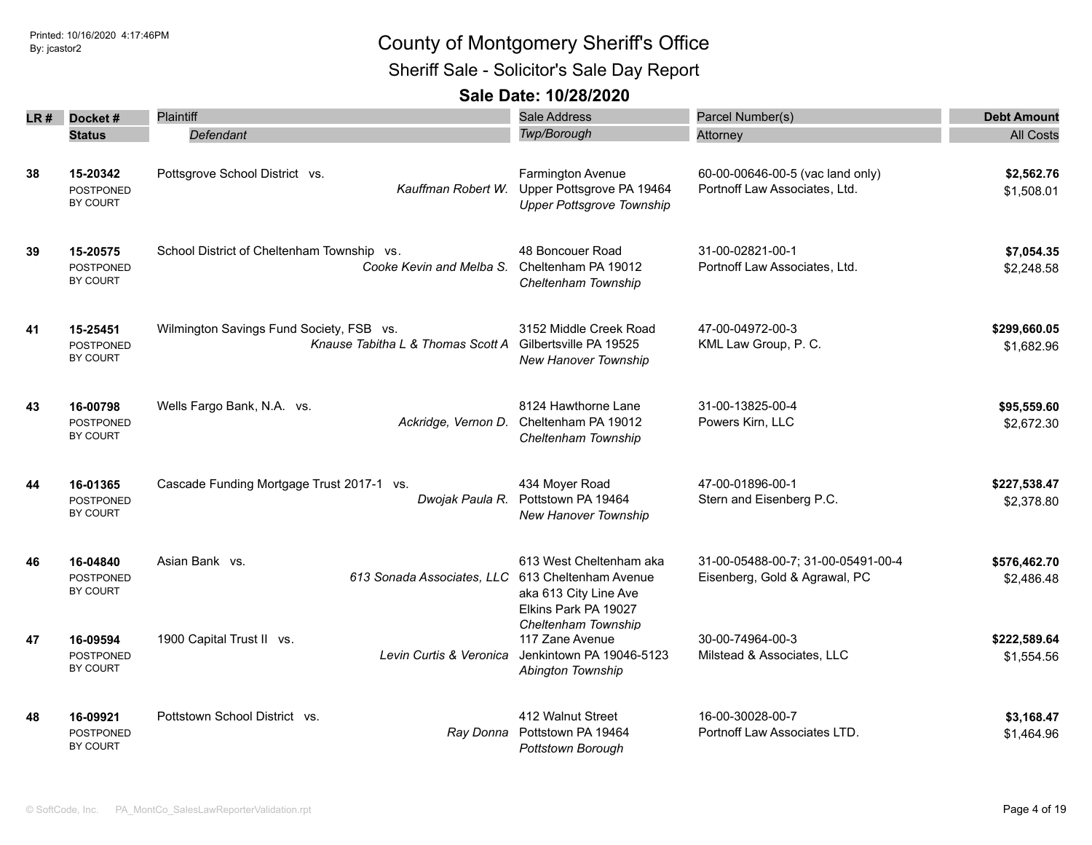Sheriff Sale - Solicitor's Sale Day Report

| LR# | Docket#                                         | Plaintiff                                                                     | Sale Address                                                                                      | Parcel Number(s)                                                    | <b>Debt Amount</b>         |
|-----|-------------------------------------------------|-------------------------------------------------------------------------------|---------------------------------------------------------------------------------------------------|---------------------------------------------------------------------|----------------------------|
|     | <b>Status</b>                                   | Defendant                                                                     | Twp/Borough                                                                                       | Attorney                                                            | <b>All Costs</b>           |
| 38  | 15-20342<br><b>POSTPONED</b><br>BY COURT        | Pottsgrove School District vs.<br>Kauffman Robert W.                          | Farmington Avenue<br>Upper Pottsgrove PA 19464<br><b>Upper Pottsgrove Township</b>                | 60-00-00646-00-5 (vac land only)<br>Portnoff Law Associates, Ltd.   | \$2,562.76<br>\$1,508.01   |
| 39  | 15-20575<br><b>POSTPONED</b><br>BY COURT        | School District of Cheltenham Township vs.<br>Cooke Kevin and Melba S.        | 48 Boncouer Road<br>Cheltenham PA 19012<br>Cheltenham Township                                    | 31-00-02821-00-1<br>Portnoff Law Associates, Ltd.                   | \$7,054.35<br>\$2,248.58   |
| 41  | 15-25451<br><b>POSTPONED</b><br><b>BY COURT</b> | Wilmington Savings Fund Society, FSB vs.<br>Knause Tabitha L & Thomas Scott A | 3152 Middle Creek Road<br>Gilbertsville PA 19525<br>New Hanover Township                          | 47-00-04972-00-3<br>KML Law Group, P. C.                            | \$299,660.05<br>\$1,682.96 |
| 43  | 16-00798<br><b>POSTPONED</b><br><b>BY COURT</b> | Wells Fargo Bank, N.A. vs.<br>Ackridge, Vernon D.                             | 8124 Hawthorne Lane<br>Cheltenham PA 19012<br>Cheltenham Township                                 | 31-00-13825-00-4<br>Powers Kirn, LLC                                | \$95,559.60<br>\$2,672.30  |
| 44  | 16-01365<br><b>POSTPONED</b><br>BY COURT        | Cascade Funding Mortgage Trust 2017-1 vs.<br>Dwojak Paula R.                  | 434 Moyer Road<br>Pottstown PA 19464<br><b>New Hanover Township</b>                               | 47-00-01896-00-1<br>Stern and Eisenberg P.C.                        | \$227,538.47<br>\$2,378.80 |
| 46  | 16-04840<br><b>POSTPONED</b><br>BY COURT        | Asian Bank vs.<br>613 Sonada Associates, LLC                                  | 613 West Cheltenham aka<br>613 Cheltenham Avenue<br>aka 613 City Line Ave<br>Elkins Park PA 19027 | 31-00-05488-00-7; 31-00-05491-00-4<br>Eisenberg, Gold & Agrawal, PC | \$576,462.70<br>\$2,486.48 |
| 47  | 16-09594<br><b>POSTPONED</b><br><b>BY COURT</b> | 1900 Capital Trust II vs.<br>Levin Curtis & Veronica                          | Cheltenham Township<br>117 Zane Avenue<br>Jenkintown PA 19046-5123<br>Abington Township           | 30-00-74964-00-3<br>Milstead & Associates, LLC                      | \$222,589.64<br>\$1,554.56 |
| 48  | 16-09921<br>POSTPONED<br><b>BY COURT</b>        | Pottstown School District vs.                                                 | 412 Walnut Street<br>Ray Donna Pottstown PA 19464<br>Pottstown Borough                            | 16-00-30028-00-7<br>Portnoff Law Associates LTD.                    | \$3,168.47<br>\$1,464.96   |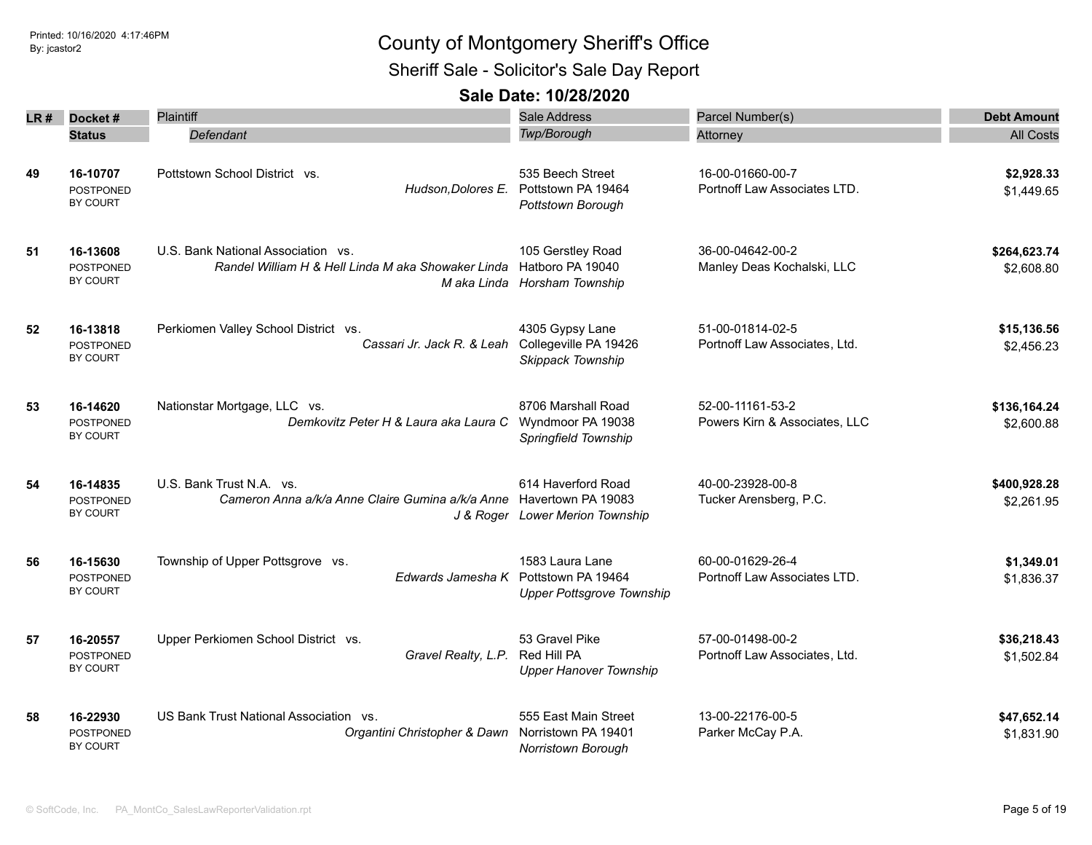Sheriff Sale - Solicitor's Sale Day Report

| LR # | Docket#                                  | Plaintiff                                                                                       | Sale Address                                                              | Parcel Number(s)                                  | <b>Debt Amount</b>         |
|------|------------------------------------------|-------------------------------------------------------------------------------------------------|---------------------------------------------------------------------------|---------------------------------------------------|----------------------------|
|      | <b>Status</b>                            | Defendant                                                                                       | Twp/Borough                                                               | Attorney                                          | <b>All Costs</b>           |
| 49   | 16-10707<br><b>POSTPONED</b><br>BY COURT | Pottstown School District vs.<br>Hudson, Dolores E.                                             | 535 Beech Street<br>Pottstown PA 19464<br>Pottstown Borough               | 16-00-01660-00-7<br>Portnoff Law Associates LTD.  | \$2,928.33<br>\$1,449.65   |
| 51   | 16-13608<br><b>POSTPONED</b><br>BY COURT | U.S. Bank National Association vs.<br>Randel William H & Hell Linda M aka Showaker Linda        | 105 Gerstley Road<br>Hatboro PA 19040<br>M aka Linda Horsham Township     | 36-00-04642-00-2<br>Manley Deas Kochalski, LLC    | \$264,623.74<br>\$2,608.80 |
| 52   | 16-13818<br><b>POSTPONED</b><br>BY COURT | Perkiomen Valley School District vs.<br>Cassari Jr. Jack R. & Leah                              | 4305 Gypsy Lane<br>Collegeville PA 19426<br>Skippack Township             | 51-00-01814-02-5<br>Portnoff Law Associates, Ltd. | \$15,136.56<br>\$2,456.23  |
| 53   | 16-14620<br><b>POSTPONED</b><br>BY COURT | Nationstar Mortgage, LLC vs.<br>Demkovitz Peter H & Laura aka Laura C                           | 8706 Marshall Road<br>Wyndmoor PA 19038<br>Springfield Township           | 52-00-11161-53-2<br>Powers Kirn & Associates, LLC | \$136,164.24<br>\$2,600.88 |
| 54   | 16-14835<br><b>POSTPONED</b><br>BY COURT | U.S. Bank Trust N.A. vs.<br>Cameron Anna a/k/a Anne Claire Gumina a/k/a Anne Havertown PA 19083 | 614 Haverford Road<br>J & Roger Lower Merion Township                     | 40-00-23928-00-8<br>Tucker Arensberg, P.C.        | \$400,928.28<br>\$2,261.95 |
| 56   | 16-15630<br><b>POSTPONED</b><br>BY COURT | Township of Upper Pottsgrove vs.<br>Edwards Jamesha K                                           | 1583 Laura Lane<br>Pottstown PA 19464<br><b>Upper Pottsgrove Township</b> | 60-00-01629-26-4<br>Portnoff Law Associates LTD.  | \$1,349.01<br>\$1,836.37   |
| 57   | 16-20557<br><b>POSTPONED</b><br>BY COURT | Upper Perkiomen School District vs.<br>Gravel Realty, L.P.                                      | 53 Gravel Pike<br>Red Hill PA<br><b>Upper Hanover Township</b>            | 57-00-01498-00-2<br>Portnoff Law Associates, Ltd. | \$36,218.43<br>\$1,502.84  |
| 58   | 16-22930<br>POSTPONED<br>BY COURT        | US Bank Trust National Association vs.<br>Organtini Christopher & Dawn                          | 555 East Main Street<br>Norristown PA 19401<br><b>Norristown Borough</b>  | 13-00-22176-00-5<br>Parker McCay P.A.             | \$47,652.14<br>\$1,831.90  |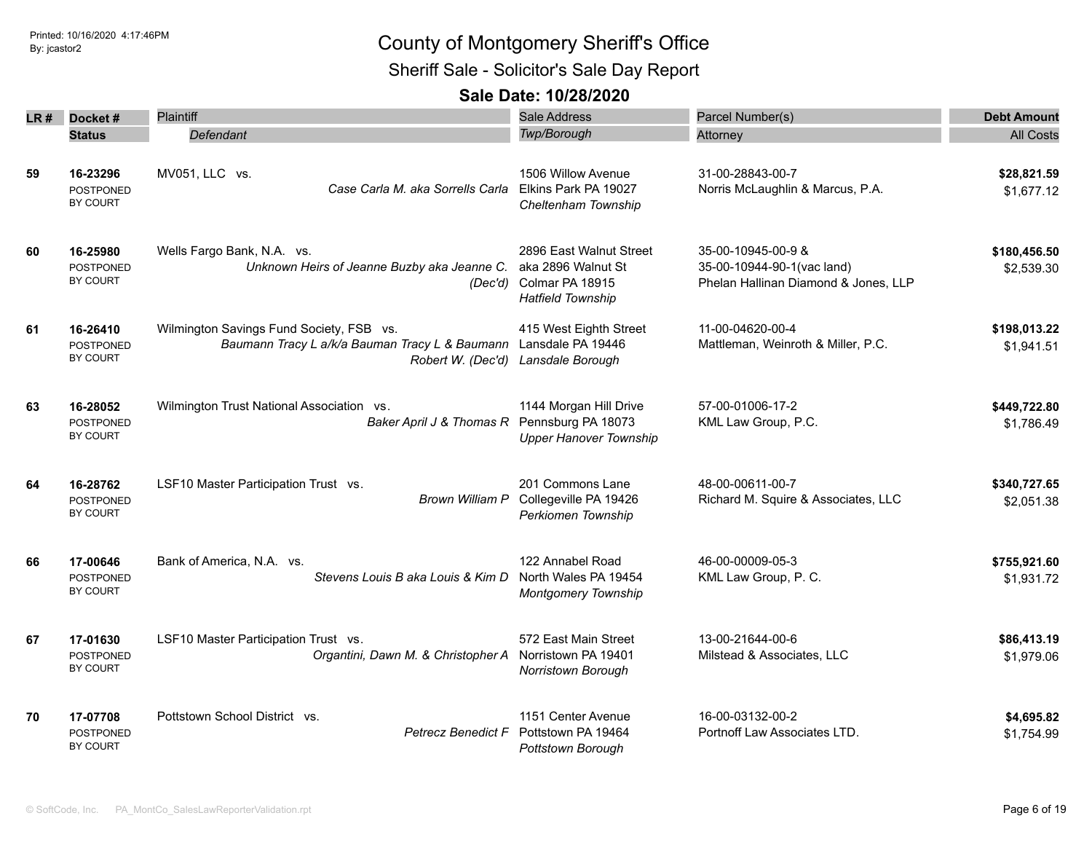Sheriff Sale - Solicitor's Sale Day Report

| LR# | Docket #                            | Plaintiff                                      | Sale Address                                        | Parcel Number(s)                     | <b>Debt Amount</b> |
|-----|-------------------------------------|------------------------------------------------|-----------------------------------------------------|--------------------------------------|--------------------|
|     | <b>Status</b>                       | Defendant                                      | Twp/Borough                                         | Attorney                             | <b>All Costs</b>   |
|     |                                     |                                                |                                                     |                                      |                    |
| 59  | 16-23296                            | MV051, LLC vs.                                 | 1506 Willow Avenue                                  | 31-00-28843-00-7                     | \$28,821.59        |
|     | <b>POSTPONED</b>                    | Case Carla M. aka Sorrells Carla               | Elkins Park PA 19027                                | Norris McLaughlin & Marcus, P.A.     | \$1,677.12         |
|     | BY COURT                            |                                                | Cheltenham Township                                 |                                      |                    |
| 60  | 16-25980                            | Wells Fargo Bank, N.A. vs.                     | 2896 East Walnut Street                             | 35-00-10945-00-9 &                   | \$180,456.50       |
|     | <b>POSTPONED</b>                    | Unknown Heirs of Jeanne Buzby aka Jeanne C.    | aka 2896 Walnut St                                  | 35-00-10944-90-1(vac land)           | \$2,539.30         |
|     | <b>BY COURT</b>                     | (Dec'd)                                        | Colmar PA 18915<br><b>Hatfield Township</b>         | Phelan Hallinan Diamond & Jones, LLP |                    |
| 61  | 16-26410                            | Wilmington Savings Fund Society, FSB vs.       | 415 West Eighth Street                              | 11-00-04620-00-4                     | \$198,013.22       |
|     | <b>POSTPONED</b>                    | Baumann Tracy L a/k/a Bauman Tracy L & Baumann | Lansdale PA 19446                                   | Mattleman, Weinroth & Miller, P.C.   | \$1,941.51         |
|     | BY COURT                            | Robert W. (Dec'd)                              | Lansdale Borough                                    |                                      |                    |
| 63  | 16-28052                            | Wilmington Trust National Association vs.      | 1144 Morgan Hill Drive                              | 57-00-01006-17-2                     | \$449,722.80       |
|     | <b>POSTPONED</b><br><b>BY COURT</b> | Baker April J & Thomas R                       | Pennsburg PA 18073<br><b>Upper Hanover Township</b> | KML Law Group, P.C.                  | \$1,786.49         |
|     |                                     |                                                |                                                     |                                      |                    |
| 64  | 16-28762                            | LSF10 Master Participation Trust vs.           | 201 Commons Lane                                    | 48-00-00611-00-7                     | \$340,727.65       |
|     | <b>POSTPONED</b>                    | <b>Brown William P</b>                         | Collegeville PA 19426                               | Richard M. Squire & Associates, LLC  | \$2,051.38         |
|     | <b>BY COURT</b>                     |                                                | Perkiomen Township                                  |                                      |                    |
| 66  | 17-00646                            | Bank of America, N.A. vs.                      | 122 Annabel Road                                    | 46-00-00009-05-3                     | \$755,921.60       |
|     | <b>POSTPONED</b><br><b>BY COURT</b> | Stevens Louis B aka Louis & Kim D              | North Wales PA 19454<br><b>Montgomery Township</b>  | KML Law Group, P. C.                 | \$1,931.72         |
|     |                                     |                                                |                                                     |                                      |                    |
| 67  | 17-01630                            | LSF10 Master Participation Trust vs.           | 572 East Main Street                                | 13-00-21644-00-6                     | \$86,413.19        |
|     | <b>POSTPONED</b><br><b>BY COURT</b> | Organtini, Dawn M. & Christopher A             | Norristown PA 19401                                 | Milstead & Associates, LLC           | \$1,979.06         |
|     |                                     |                                                | Norristown Borough                                  |                                      |                    |
| 70  | 17-07708                            | Pottstown School District vs.                  | 1151 Center Avenue                                  | 16-00-03132-00-2                     | \$4,695.82         |
|     | POSTPONED<br><b>BY COURT</b>        | <b>Petrecz Benedict F</b>                      | Pottstown PA 19464<br>Pottstown Borouah             | Portnoff Law Associates LTD.         | \$1,754.99         |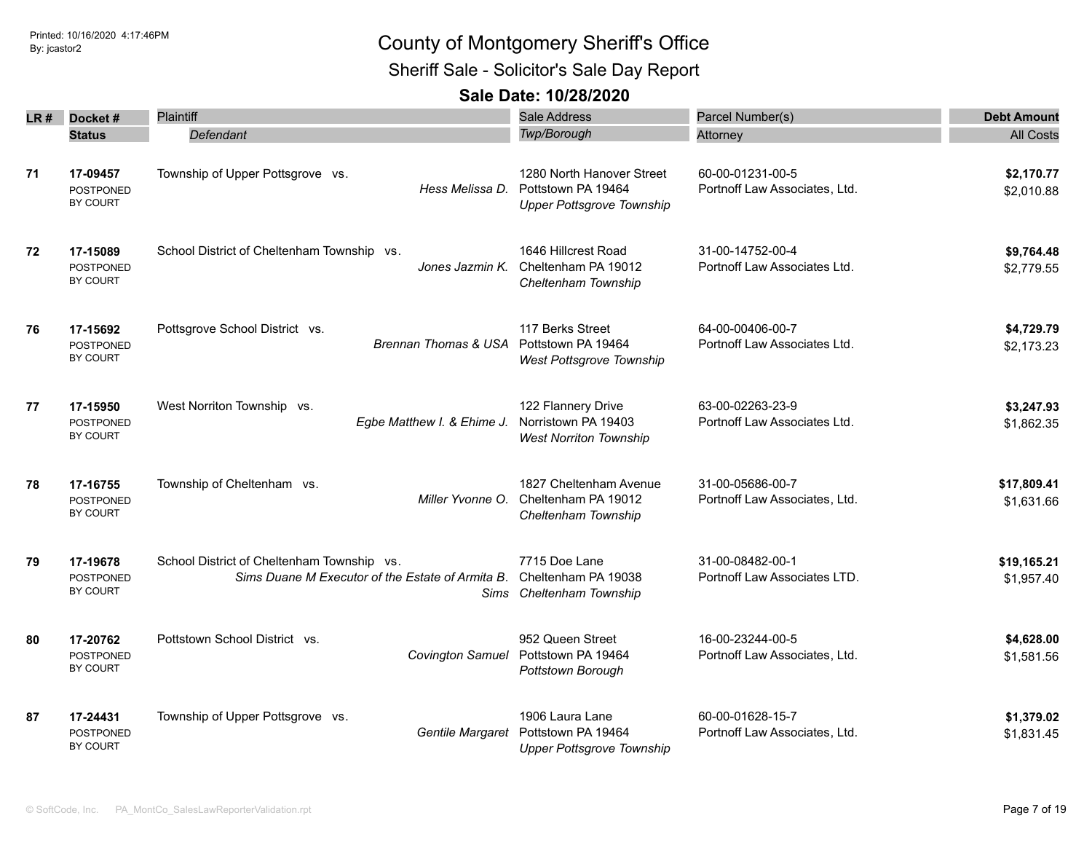Sheriff Sale - Solicitor's Sale Day Report

| LR # | Docket#                                  | Plaintiff                                                                                      | Sale Address                                                                        | Parcel Number(s)                                  | <b>Debt Amount</b>        |
|------|------------------------------------------|------------------------------------------------------------------------------------------------|-------------------------------------------------------------------------------------|---------------------------------------------------|---------------------------|
|      | <b>Status</b>                            | Defendant                                                                                      | Twp/Borough                                                                         | Attorney                                          | <b>All Costs</b>          |
| 71   | 17-09457<br><b>POSTPONED</b><br>BY COURT | Township of Upper Pottsgrove vs.<br>Hess Melissa D.                                            | 1280 North Hanover Street<br>Pottstown PA 19464<br><b>Upper Pottsgrove Township</b> | 60-00-01231-00-5<br>Portnoff Law Associates, Ltd. | \$2,170.77<br>\$2,010.88  |
| 72   | 17-15089<br><b>POSTPONED</b><br>BY COURT | School District of Cheltenham Township vs.<br>Jones Jazmin K.                                  | 1646 Hillcrest Road<br>Cheltenham PA 19012<br>Cheltenham Township                   | 31-00-14752-00-4<br>Portnoff Law Associates Ltd.  | \$9,764.48<br>\$2,779.55  |
| 76   | 17-15692<br><b>POSTPONED</b><br>BY COURT | Pottsgrove School District vs.<br><b>Brennan Thomas &amp; USA</b>                              | 117 Berks Street<br>Pottstown PA 19464<br><b>West Pottsgrove Township</b>           | 64-00-00406-00-7<br>Portnoff Law Associates Ltd.  | \$4,729.79<br>\$2,173.23  |
| 77   | 17-15950<br><b>POSTPONED</b><br>BY COURT | West Norriton Township vs.<br>Egbe Matthew I. & Ehime J.                                       | 122 Flannery Drive<br>Norristown PA 19403<br><b>West Norriton Township</b>          | 63-00-02263-23-9<br>Portnoff Law Associates Ltd.  | \$3,247.93<br>\$1,862.35  |
| 78   | 17-16755<br><b>POSTPONED</b><br>BY COURT | Township of Cheltenham vs.<br>Miller Yvonne O.                                                 | 1827 Cheltenham Avenue<br>Cheltenham PA 19012<br>Cheltenham Township                | 31-00-05686-00-7<br>Portnoff Law Associates, Ltd. | \$17,809.41<br>\$1,631.66 |
| 79   | 17-19678<br><b>POSTPONED</b><br>BY COURT | School District of Cheltenham Township vs.<br>Sims Duane M Executor of the Estate of Armita B. | 7715 Doe Lane<br>Cheltenham PA 19038<br>Sims Cheltenham Township                    | 31-00-08482-00-1<br>Portnoff Law Associates LTD.  | \$19,165.21<br>\$1,957.40 |
| 80   | 17-20762<br><b>POSTPONED</b><br>BY COURT | Pottstown School District vs.<br>Covington Samuel                                              | 952 Queen Street<br>Pottstown PA 19464<br>Pottstown Borough                         | 16-00-23244-00-5<br>Portnoff Law Associates, Ltd. | \$4,628.00<br>\$1,581.56  |
| 87   | 17-24431<br><b>POSTPONED</b><br>BY COURT | Township of Upper Pottsgrove vs.<br>Gentile Margaret                                           | 1906 Laura Lane<br>Pottstown PA 19464<br><b>Upper Pottsgrove Township</b>           | 60-00-01628-15-7<br>Portnoff Law Associates, Ltd. | \$1,379.02<br>\$1,831.45  |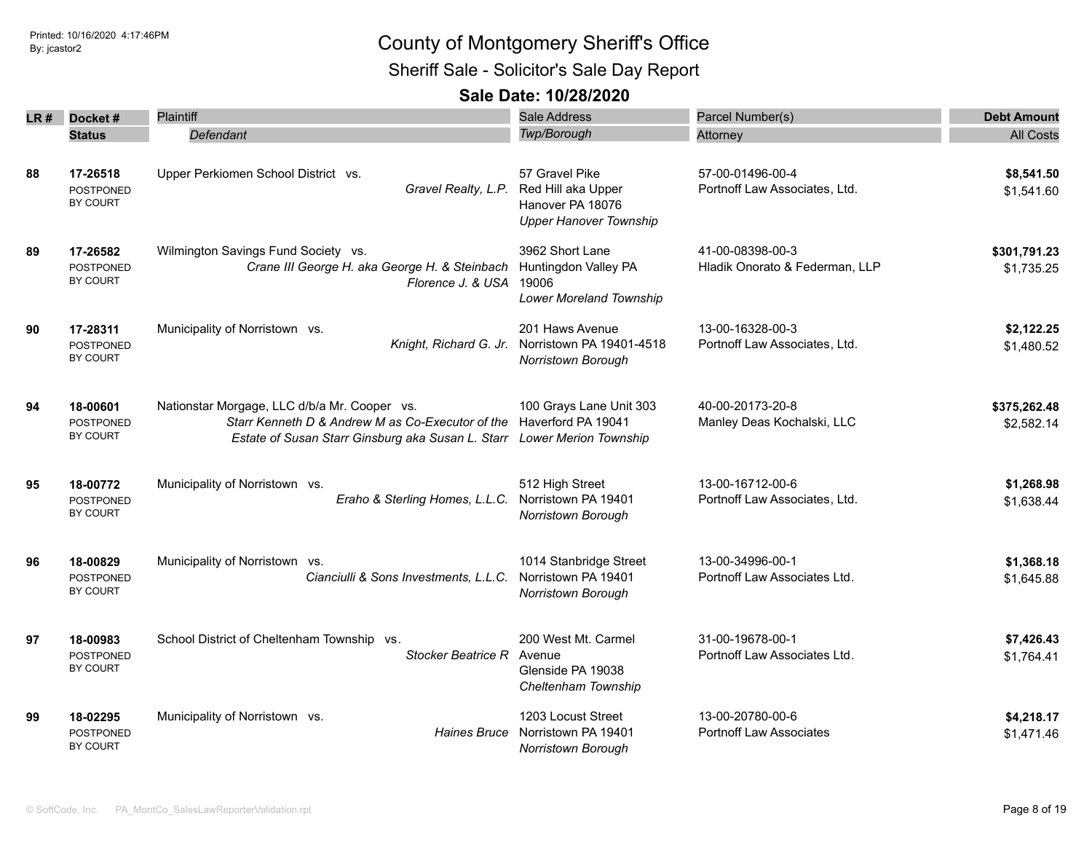Sheriff Sale - Solicitor's Sale Day Report

|    | $LR#$ Docket#                                   | <b>Plaintiff</b>                                                                                                                                                                               | Sale Address                                                                                                  | Parcel Number(s)                                   | <b>Debt Amount</b>         |
|----|-------------------------------------------------|------------------------------------------------------------------------------------------------------------------------------------------------------------------------------------------------|---------------------------------------------------------------------------------------------------------------|----------------------------------------------------|----------------------------|
|    | <b>Status</b>                                   | Defendant                                                                                                                                                                                      | Twp/Borough                                                                                                   | Attorney                                           | <b>All Costs</b>           |
| 88 | 17-26518<br>POSTPONED<br>BY COURT               | Upper Perkiomen School District vs.                                                                                                                                                            | 57 Gravel Pike<br>Gravel Realty, L.P. Red Hill aka Upper<br>Hanover PA 18076<br><b>Upper Hanover Township</b> | 57-00-01496-00-4<br>Portnoff Law Associates, Ltd.  | \$8,541.50<br>\$1,541.60   |
| 89 | 17-26582<br><b>POSTPONED</b><br>BY COURT        | Wilmington Savings Fund Society vs.<br>Crane III George H. aka George H. & Steinbach Huntingdon Valley PA<br>Florence J. & USA 19006                                                           | 3962 Short Lane<br>Lower Moreland Township                                                                    | 41-00-08398-00-3<br>Hladik Onorato & Federman, LLP | \$301,791.23<br>\$1,735.25 |
| 90 | 17-28311<br><b>POSTPONED</b><br>BY COURT        | Municipality of Norristown vs.                                                                                                                                                                 | 201 Haws Avenue<br>Knight, Richard G. Jr. Norristown PA 19401-4518<br><b>Norristown Borough</b>               | 13-00-16328-00-3<br>Portnoff Law Associates, Ltd.  | \$2,122.25<br>\$1,480.52   |
| 94 | 18-00601<br><b>POSTPONED</b><br>BY COURT        | Nationstar Morgage, LLC d/b/a Mr. Cooper vs.<br>Starr Kenneth D & Andrew M as Co-Executor of the Haverford PA 19041<br>Estate of Susan Starr Ginsburg aka Susan L. Starr Lower Merion Township | 100 Grays Lane Unit 303                                                                                       | 40-00-20173-20-8<br>Manley Deas Kochalski, LLC     | \$375,262.48<br>\$2,582.14 |
| 95 | 18-00772<br><b>POSTPONED</b><br>BY COURT        | Municipality of Norristown vs.<br>Eraho & Sterling Homes, L.L.C.                                                                                                                               | 512 High Street<br>Norristown PA 19401<br>Norristown Borough                                                  | 13-00-16712-00-6<br>Portnoff Law Associates, Ltd.  | \$1,268.98<br>\$1,638.44   |
| 96 | 18-00829<br><b>POSTPONED</b><br><b>BY COURT</b> | Municipality of Norristown vs.<br>Cianciulli & Sons Investments, L.L.C.                                                                                                                        | 1014 Stanbridge Street<br>Norristown PA 19401<br>Norristown Borough                                           | 13-00-34996-00-1<br>Portnoff Law Associates Ltd.   | \$1,368.18<br>\$1,645.88   |
| 97 | 18-00983<br><b>POSTPONED</b><br><b>BY COURT</b> | School District of Cheltenham Township vs.<br>Stocker Beatrice R                                                                                                                               | 200 West Mt. Carmel<br>Avenue<br>Glenside PA 19038<br>Cheltenham Township                                     | 31-00-19678-00-1<br>Portnoff Law Associates Ltd.   | \$7,426.43<br>\$1,764.41   |
| 99 | 18-02295<br>POSTPONED<br><b>BY COURT</b>        | Municipality of Norristown vs.<br><b>Haines Bruce</b>                                                                                                                                          | 1203 Locust Street<br>Norristown PA 19401<br>Norristown Borough                                               | 13-00-20780-00-6<br><b>Portnoff Law Associates</b> | \$4,218.17<br>\$1,471.46   |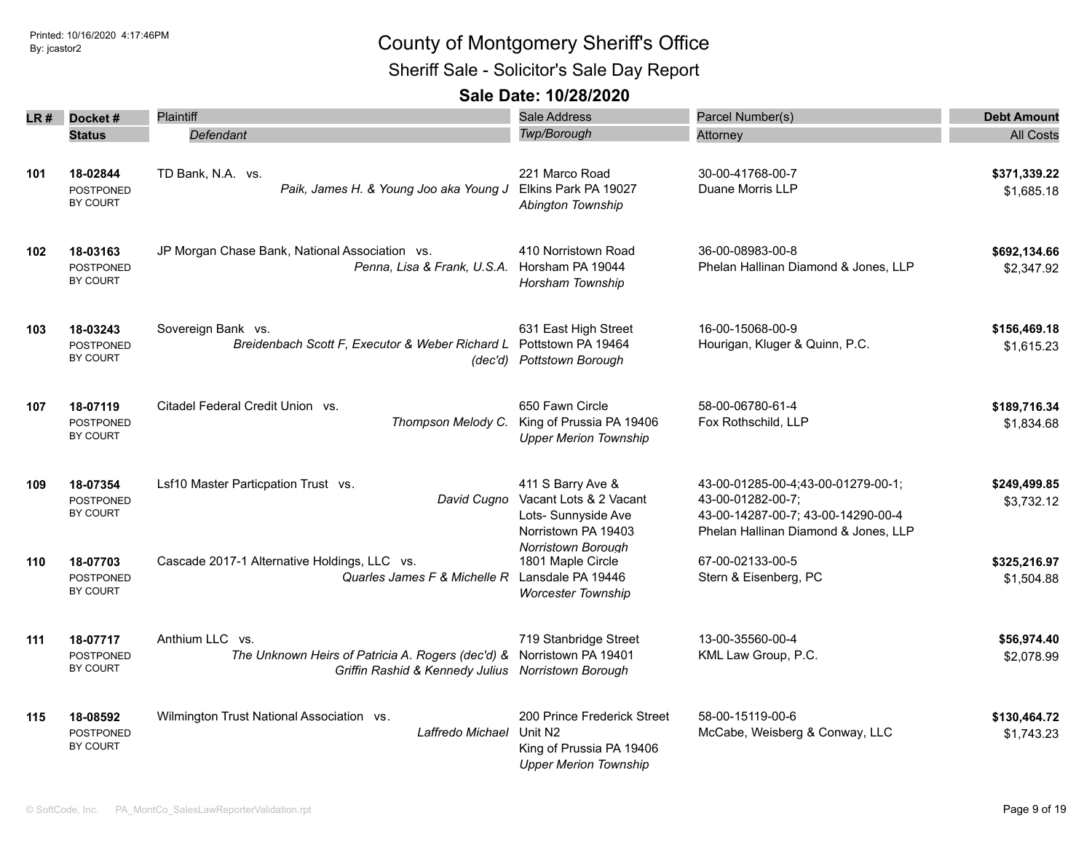Sheriff Sale - Solicitor's Sale Day Report

|     | $LR#$ Docket#                                   | <b>Plaintiff</b>                                                                                                                               | Sale Address                                                                                                   | Parcel Number(s)                                                                                                                      | <b>Debt Amount</b>         |
|-----|-------------------------------------------------|------------------------------------------------------------------------------------------------------------------------------------------------|----------------------------------------------------------------------------------------------------------------|---------------------------------------------------------------------------------------------------------------------------------------|----------------------------|
|     | <b>Status</b>                                   | Defendant                                                                                                                                      | <b>Twp/Borough</b>                                                                                             | Attorney                                                                                                                              | <b>All Costs</b>           |
| 101 | 18-02844<br><b>POSTPONED</b><br>BY COURT        | TD Bank, N.A. vs.<br>Paik, James H. & Young Joo aka Young J                                                                                    | 221 Marco Road<br>Elkins Park PA 19027<br>Abington Township                                                    | 30-00-41768-00-7<br>Duane Morris LLP                                                                                                  | \$371,339.22<br>\$1.685.18 |
| 102 | 18-03163<br><b>POSTPONED</b><br>BY COURT        | JP Morgan Chase Bank, National Association vs.<br>Penna, Lisa & Frank, U.S.A.                                                                  | 410 Norristown Road<br>Horsham PA 19044<br>Horsham Township                                                    | 36-00-08983-00-8<br>Phelan Hallinan Diamond & Jones, LLP                                                                              | \$692,134.66<br>\$2,347.92 |
| 103 | 18-03243<br><b>POSTPONED</b><br>BY COURT        | Sovereign Bank vs.<br>Breidenbach Scott F, Executor & Weber Richard L Pottstown PA 19464                                                       | 631 East High Street<br>(dec'd) Pottstown Borough                                                              | 16-00-15068-00-9<br>Hourigan, Kluger & Quinn, P.C.                                                                                    | \$156,469.18<br>\$1,615.23 |
| 107 | 18-07119<br><b>POSTPONED</b><br><b>BY COURT</b> | Citadel Federal Credit Union vs.<br>Thompson Melody C.                                                                                         | 650 Fawn Circle<br>King of Prussia PA 19406<br><b>Upper Merion Township</b>                                    | 58-00-06780-61-4<br>Fox Rothschild, LLP                                                                                               | \$189,716.34<br>\$1,834.68 |
| 109 | 18-07354<br><b>POSTPONED</b><br><b>BY COURT</b> | Lsf10 Master Particpation Trust vs.<br>David Cugno                                                                                             | 411 S Barry Ave &<br>Vacant Lots & 2 Vacant<br>Lots- Sunnyside Ave<br>Norristown PA 19403                      | 43-00-01285-00-4;43-00-01279-00-1;<br>43-00-01282-00-7;<br>43-00-14287-00-7; 43-00-14290-00-4<br>Phelan Hallinan Diamond & Jones, LLP | \$249,499.85<br>\$3,732.12 |
| 110 | 18-07703<br><b>POSTPONED</b><br>BY COURT        | Cascade 2017-1 Alternative Holdings, LLC vs.<br>Quarles James F & Michelle R Lansdale PA 19446                                                 | Norristown Borough<br>1801 Maple Circle<br><b>Worcester Township</b>                                           | 67-00-02133-00-5<br>Stern & Eisenberg, PC                                                                                             | \$325,216.97<br>\$1,504.88 |
| 111 | 18-07717<br><b>POSTPONED</b><br>BY COURT        | Anthium LLC vs.<br>The Unknown Heirs of Patricia A. Rogers (dec'd) & Norristown PA 19401<br>Griffin Rashid & Kennedy Julius Norristown Borough | 719 Stanbridge Street                                                                                          | 13-00-35560-00-4<br>KML Law Group, P.C.                                                                                               | \$56,974.40<br>\$2,078.99  |
| 115 | 18-08592<br><b>POSTPONED</b><br><b>BY COURT</b> | Wilmington Trust National Association vs.<br>Laffredo Michael                                                                                  | 200 Prince Frederick Street<br>Unit N <sub>2</sub><br>King of Prussia PA 19406<br><b>Upper Merion Township</b> | 58-00-15119-00-6<br>McCabe, Weisberg & Conway, LLC                                                                                    | \$130,464.72<br>\$1,743.23 |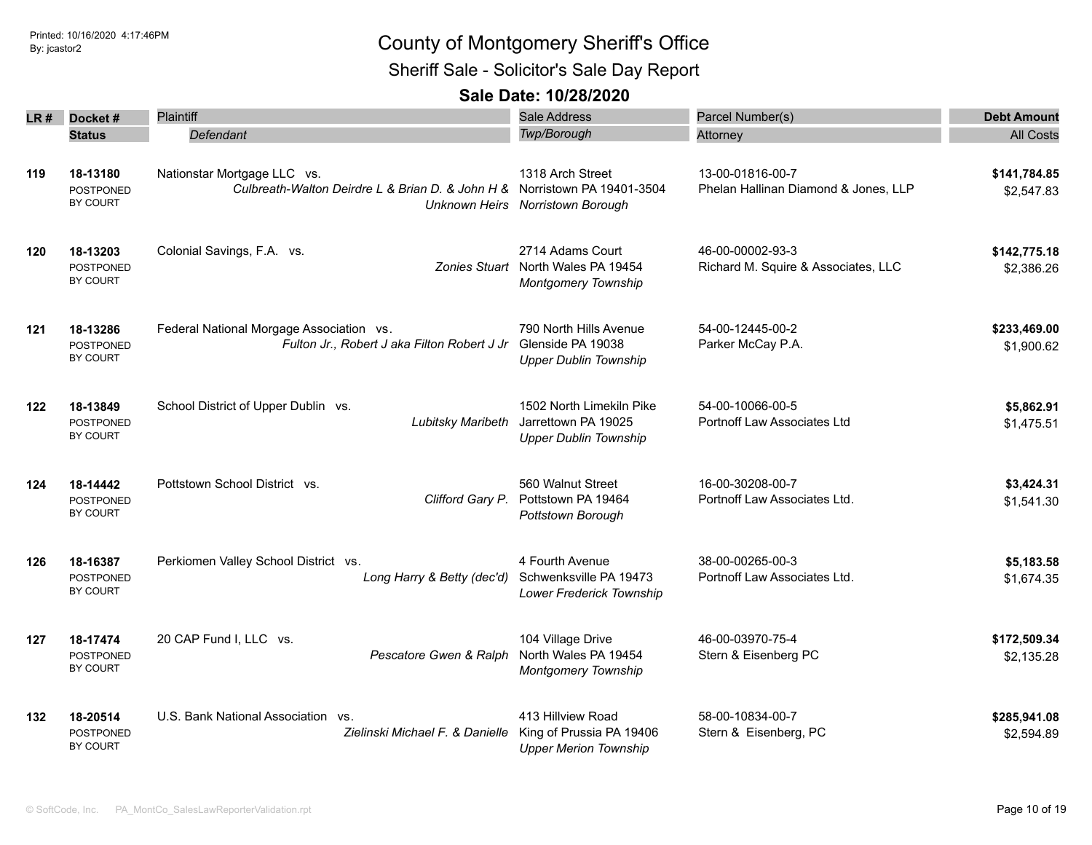Sheriff Sale - Solicitor's Sale Day Report

| LR # | Docket#<br><b>Status</b>                        | Plaintiff<br>Defendant                                                                                   | <b>Sale Address</b><br>Twp/Borough                                                   | Parcel Number(s)<br>Attorney                             | <b>Debt Amount</b><br><b>All Costs</b> |
|------|-------------------------------------------------|----------------------------------------------------------------------------------------------------------|--------------------------------------------------------------------------------------|----------------------------------------------------------|----------------------------------------|
| 119  | 18-13180<br>POSTPONED<br>BY COURT               | Nationstar Mortgage LLC vs.<br>Culbreath-Walton Deirdre L & Brian D. & John H & Norristown PA 19401-3504 | 1318 Arch Street<br>Unknown Heirs Norristown Borough                                 | 13-00-01816-00-7<br>Phelan Hallinan Diamond & Jones, LLP | \$141,784.85<br>\$2,547.83             |
| 120  | 18-13203<br><b>POSTPONED</b><br><b>BY COURT</b> | Colonial Savings, F.A. vs.                                                                               | 2714 Adams Court<br>Zonies Stuart North Wales PA 19454<br><b>Montgomery Township</b> | 46-00-00002-93-3<br>Richard M. Squire & Associates, LLC  | \$142,775.18<br>\$2,386.26             |
| 121  | 18-13286<br><b>POSTPONED</b><br>BY COURT        | Federal National Morgage Association vs.<br>Fulton Jr., Robert J aka Filton Robert J Jr                  | 790 North Hills Avenue<br>Glenside PA 19038<br><b>Upper Dublin Township</b>          | 54-00-12445-00-2<br>Parker McCay P.A.                    | \$233,469.00<br>\$1,900.62             |
| 122  | 18-13849<br><b>POSTPONED</b><br>BY COURT        | School District of Upper Dublin vs.<br>Lubitsky Maribeth                                                 | 1502 North Limekiln Pike<br>Jarrettown PA 19025<br><b>Upper Dublin Township</b>      | 54-00-10066-00-5<br>Portnoff Law Associates Ltd          | \$5,862.91<br>\$1,475.51               |
| 124  | 18-14442<br><b>POSTPONED</b><br>BY COURT        | Pottstown School District vs.<br>Clifford Gary P.                                                        | 560 Walnut Street<br>Pottstown PA 19464<br>Pottstown Borough                         | 16-00-30208-00-7<br>Portnoff Law Associates Ltd.         | \$3,424.31<br>\$1,541.30               |
| 126  | 18-16387<br>POSTPONED<br><b>BY COURT</b>        | Perkiomen Valley School District vs.<br>Long Harry & Betty (dec'd)                                       | 4 Fourth Avenue<br>Schwenksville PA 19473<br>Lower Frederick Township                | 38-00-00265-00-3<br>Portnoff Law Associates Ltd.         | \$5,183.58<br>\$1,674.35               |
| 127  | 18-17474<br><b>POSTPONED</b><br>BY COURT        | 20 CAP Fund I, LLC vs.<br>Pescatore Gwen & Ralph                                                         | 104 Village Drive<br>North Wales PA 19454<br><b>Montgomery Township</b>              | 46-00-03970-75-4<br>Stern & Eisenberg PC                 | \$172,509.34<br>\$2,135.28             |
| 132  | 18-20514<br>POSTPONED<br>BY COURT               | U.S. Bank National Association vs.<br>Zielinski Michael F. & Danielle                                    | 413 Hillview Road<br>King of Prussia PA 19406<br><b>Upper Merion Township</b>        | 58-00-10834-00-7<br>Stern & Eisenberg, PC                | \$285,941.08<br>\$2,594.89             |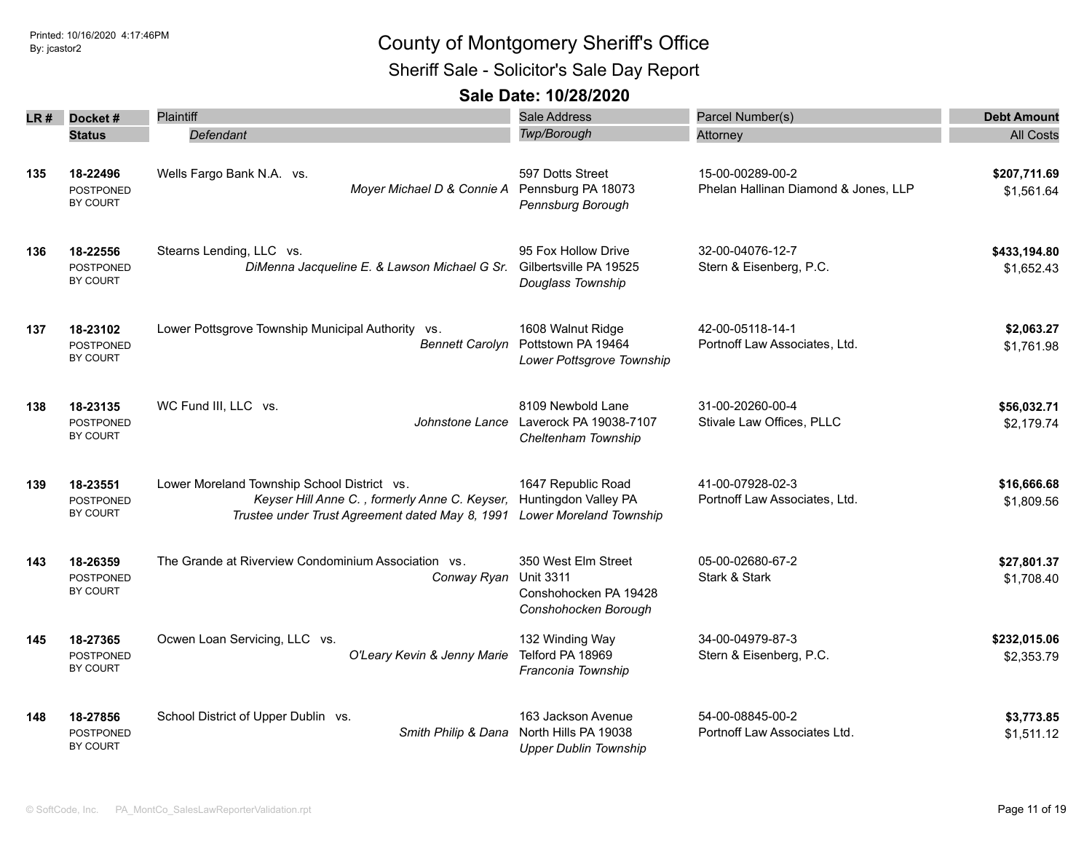Sheriff Sale - Solicitor's Sale Day Report

| LR # | Docket#                                         | Plaintiff                                                                                                                                       | <b>Sale Address</b>                                                                      | Parcel Number(s)                                         | <b>Debt Amount</b>         |
|------|-------------------------------------------------|-------------------------------------------------------------------------------------------------------------------------------------------------|------------------------------------------------------------------------------------------|----------------------------------------------------------|----------------------------|
|      | <b>Status</b>                                   | Defendant                                                                                                                                       | Twp/Borough                                                                              | Attorney                                                 | <b>All Costs</b>           |
| 135  | 18-22496<br><b>POSTPONED</b><br>BY COURT        | Wells Fargo Bank N.A. vs.<br>Moyer Michael D & Connie A                                                                                         | 597 Dotts Street<br>Pennsburg PA 18073<br>Pennsburg Borough                              | 15-00-00289-00-2<br>Phelan Hallinan Diamond & Jones, LLP | \$207,711.69<br>\$1,561.64 |
| 136  | 18-22556<br><b>POSTPONED</b><br><b>BY COURT</b> | Stearns Lending, LLC vs.<br>DiMenna Jacqueline E. & Lawson Michael G Sr. Gilbertsville PA 19525                                                 | 95 Fox Hollow Drive<br>Douglass Township                                                 | 32-00-04076-12-7<br>Stern & Eisenberg, P.C.              | \$433,194.80<br>\$1,652.43 |
| 137  | 18-23102<br><b>POSTPONED</b><br>BY COURT        | Lower Pottsgrove Township Municipal Authority vs.<br><b>Bennett Carolyn</b>                                                                     | 1608 Walnut Ridge<br>Pottstown PA 19464<br>Lower Pottsgrove Township                     | 42-00-05118-14-1<br>Portnoff Law Associates, Ltd.        | \$2,063.27<br>\$1,761.98   |
| 138  | 18-23135<br><b>POSTPONED</b><br>BY COURT        | WC Fund III, LLC vs.<br>Johnstone Lance                                                                                                         | 8109 Newbold Lane<br>Laverock PA 19038-7107<br>Cheltenham Township                       | 31-00-20260-00-4<br>Stivale Law Offices, PLLC            | \$56,032.71<br>\$2,179.74  |
| 139  | 18-23551<br><b>POSTPONED</b><br><b>BY COURT</b> | Lower Moreland Township School District vs.<br>Keyser Hill Anne C., formerly Anne C. Keyser,<br>Trustee under Trust Agreement dated May 8, 1991 | 1647 Republic Road<br>Huntingdon Valley PA<br>Lower Moreland Township                    | 41-00-07928-02-3<br>Portnoff Law Associates, Ltd.        | \$16,666.68<br>\$1,809.56  |
| 143  | 18-26359<br><b>POSTPONED</b><br>BY COURT        | The Grande at Riverview Condominium Association vs.<br>Conway Ryan                                                                              | 350 West Elm Street<br><b>Unit 3311</b><br>Conshohocken PA 19428<br>Conshohocken Borough | 05-00-02680-67-2<br>Stark & Stark                        | \$27,801.37<br>\$1,708.40  |
| 145  | 18-27365<br>POSTPONED<br>BY COURT               | Ocwen Loan Servicing, LLC vs.<br>O'Leary Kevin & Jenny Marie                                                                                    | 132 Winding Way<br>Telford PA 18969<br>Franconia Township                                | 34-00-04979-87-3<br>Stern & Eisenberg, P.C.              | \$232,015.06<br>\$2,353.79 |
| 148  | 18-27856<br>POSTPONED<br>BY COURT               | School District of Upper Dublin vs.<br>Smith Philip & Dana                                                                                      | 163 Jackson Avenue<br>North Hills PA 19038<br><b>Upper Dublin Township</b>               | 54-00-08845-00-2<br>Portnoff Law Associates Ltd.         | \$3,773.85<br>\$1,511.12   |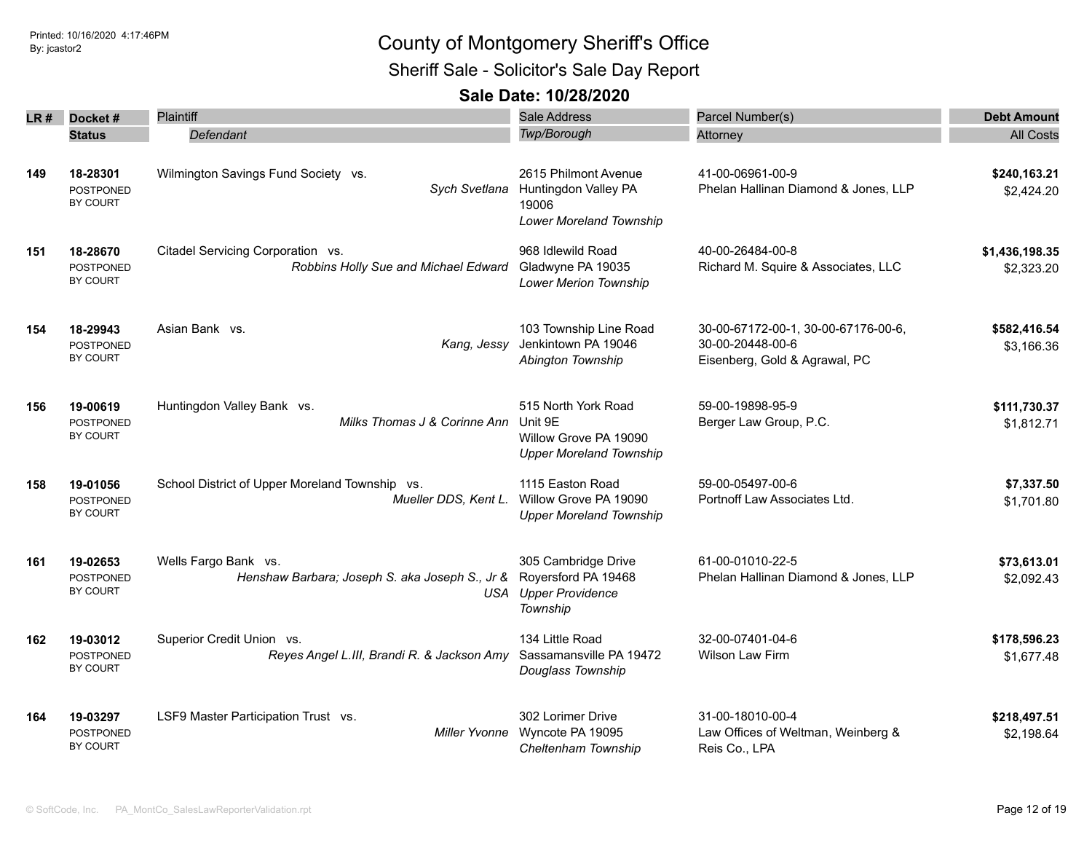### Printed: 10/16/2020 4:17:46PM By: jcastor2 County of Montgomery Sheriff's Office Sheriff Sale - Solicitor's Sale Day Report

| LR# | Docket#                             | Plaintiff                                                   | Sale Address                            | Parcel Number(s)                                       | <b>Debt Amount</b> |
|-----|-------------------------------------|-------------------------------------------------------------|-----------------------------------------|--------------------------------------------------------|--------------------|
|     | <b>Status</b>                       | Defendant                                                   | Twp/Borough                             | Attorney                                               | <b>All Costs</b>   |
|     |                                     |                                                             |                                         |                                                        |                    |
| 149 | 18-28301                            | Wilmington Savings Fund Society vs.                         | 2615 Philmont Avenue                    | 41-00-06961-00-9                                       | \$240,163.21       |
|     | POSTPONED                           | Sych Svetlana                                               | Huntingdon Valley PA                    | Phelan Hallinan Diamond & Jones, LLP                   | \$2,424.20         |
|     | BY COURT                            |                                                             | 19006                                   |                                                        |                    |
|     |                                     |                                                             | Lower Moreland Township                 |                                                        |                    |
| 151 | 18-28670                            | Citadel Servicing Corporation vs.                           | 968 Idlewild Road                       | 40-00-26484-00-8                                       | \$1,436,198.35     |
|     | <b>POSTPONED</b>                    | Robbins Holly Sue and Michael Edward                        | Gladwyne PA 19035                       | Richard M. Squire & Associates, LLC                    | \$2,323.20         |
|     | BY COURT                            |                                                             | Lower Merion Township                   |                                                        |                    |
|     |                                     |                                                             |                                         |                                                        |                    |
| 154 | 18-29943                            | Asian Bank vs.                                              | 103 Township Line Road                  | 30-00-67172-00-1, 30-00-67176-00-6,                    | \$582,416.54       |
|     | POSTPONED                           | Kang, Jessy                                                 | Jenkintown PA 19046                     | 30-00-20448-00-6                                       | \$3,166.36         |
|     | BY COURT                            |                                                             | Abington Township                       | Eisenberg, Gold & Agrawal, PC                          |                    |
|     |                                     |                                                             |                                         |                                                        |                    |
| 156 | 19-00619                            | Huntingdon Valley Bank vs.                                  | 515 North York Road                     | 59-00-19898-95-9                                       | \$111,730.37       |
|     | <b>POSTPONED</b>                    | Milks Thomas J & Corinne Ann                                | Unit 9E                                 | Berger Law Group, P.C.                                 | \$1,812.71         |
|     | <b>BY COURT</b>                     |                                                             | Willow Grove PA 19090                   |                                                        |                    |
|     |                                     |                                                             | <b>Upper Moreland Township</b>          |                                                        |                    |
| 158 | 19-01056                            | School District of Upper Moreland Township vs.              | 1115 Easton Road                        | 59-00-05497-00-6                                       | \$7,337.50         |
|     | POSTPONED                           | Mueller DDS, Kent L.                                        | Willow Grove PA 19090                   | Portnoff Law Associates Ltd.                           | \$1,701.80         |
|     | BY COURT                            |                                                             | <b>Upper Moreland Township</b>          |                                                        |                    |
|     |                                     |                                                             |                                         |                                                        |                    |
| 161 | 19-02653                            | Wells Fargo Bank vs.                                        | 305 Cambridge Drive                     | 61-00-01010-22-5                                       | \$73,613.01        |
|     | <b>POSTPONED</b><br><b>BY COURT</b> | Henshaw Barbara; Joseph S. aka Joseph S., Jr &              | Royersford PA 19468                     | Phelan Hallinan Diamond & Jones, LLP                   | \$2,092.43         |
|     |                                     |                                                             | <b>USA</b> Upper Providence<br>Township |                                                        |                    |
|     |                                     |                                                             |                                         |                                                        |                    |
| 162 | 19-03012                            | Superior Credit Union vs.                                   | 134 Little Road                         | 32-00-07401-04-6                                       | \$178,596.23       |
|     | <b>POSTPONED</b>                    | Reyes Angel L.III, Brandi R. & Jackson Amy                  | Sassamansville PA 19472                 | Wilson Law Firm                                        | \$1,677.48         |
|     | <b>BY COURT</b>                     |                                                             | Douglass Township                       |                                                        |                    |
|     |                                     |                                                             |                                         |                                                        |                    |
| 164 | 19-03297                            | LSF9 Master Participation Trust vs.<br><b>Miller Yvonne</b> | 302 Lorimer Drive<br>Wyncote PA 19095   | 31-00-18010-00-4<br>Law Offices of Weltman, Weinberg & | \$218,497.51       |
|     | POSTPONED<br>BY COURT               |                                                             | Cheltenham Township                     | Reis Co., LPA                                          | \$2,198.64         |
|     |                                     |                                                             |                                         |                                                        |                    |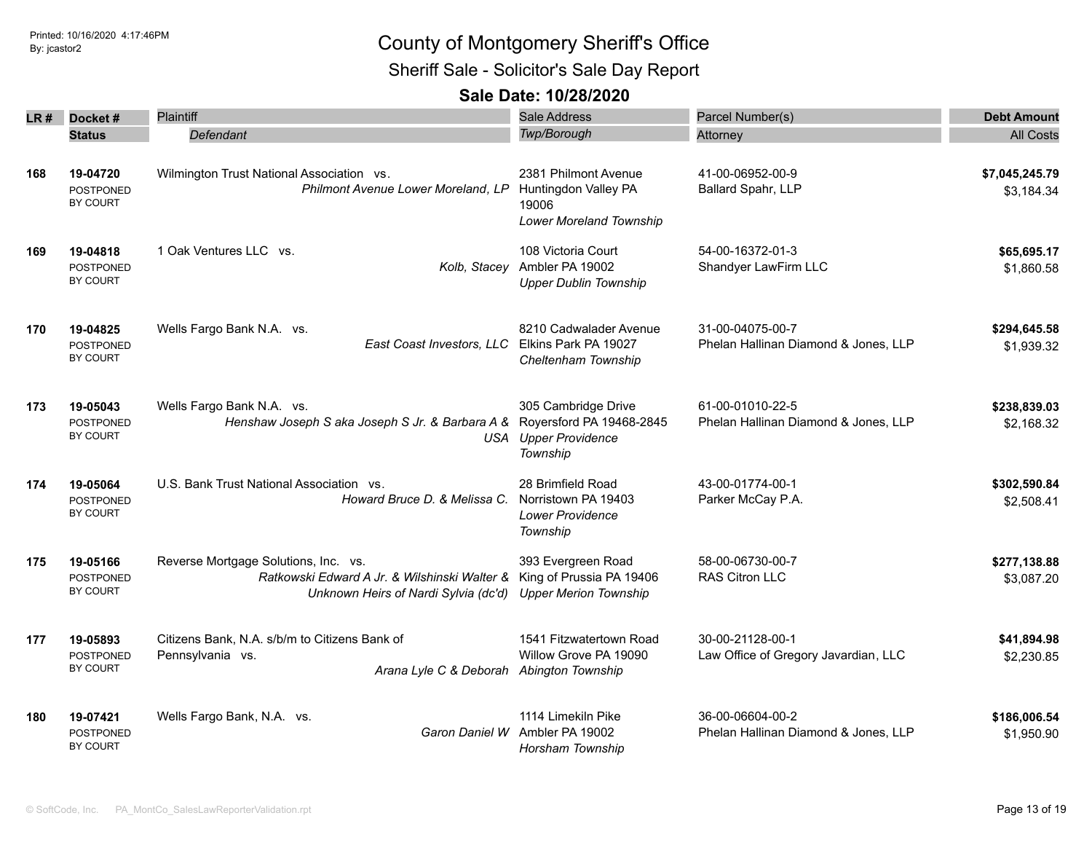## Sheriff Sale - Solicitor's Sale Day Report

| LR # | Docket#<br><b>Status</b>                                                                                                                                  | <b>Plaintiff</b><br>Defendant                                                                                                | Sale Address<br>Twp/Borough                                                                | Parcel Number(s)<br>Attorney                             | <b>Debt Amount</b><br><b>All Costs</b> |
|------|-----------------------------------------------------------------------------------------------------------------------------------------------------------|------------------------------------------------------------------------------------------------------------------------------|--------------------------------------------------------------------------------------------|----------------------------------------------------------|----------------------------------------|
| 168  | Wilmington Trust National Association vs.<br>19-04720<br>Philmont Avenue Lower Moreland, LP<br><b>POSTPONED</b><br>BY COURT                               |                                                                                                                              | 2381 Philmont Avenue<br>Huntingdon Valley PA<br>19006<br>Lower Moreland Township           | 41-00-06952-00-9<br>Ballard Spahr, LLP                   | \$7,045,245.79<br>\$3,184.34           |
| 169  | 19-04818<br><b>POSTPONED</b><br>BY COURT                                                                                                                  | 1 Oak Ventures LLC vs.                                                                                                       | 108 Victoria Court<br>Kolb, Stacey Ambler PA 19002<br><b>Upper Dublin Township</b>         | 54-00-16372-01-3<br>Shandyer LawFirm LLC                 | \$65,695.17<br>\$1,860.58              |
| 170  | 19-04825<br><b>POSTPONED</b><br>BY COURT                                                                                                                  | Wells Fargo Bank N.A. vs.<br>East Coast Investors, LLC Elkins Park PA 19027                                                  | 8210 Cadwalader Avenue<br>Cheltenham Township                                              | 31-00-04075-00-7<br>Phelan Hallinan Diamond & Jones, LLP | \$294,645.58<br>\$1,939.32             |
| 173  | 19-05043<br><b>POSTPONED</b><br>BY COURT                                                                                                                  | Wells Fargo Bank N.A. vs.<br>Henshaw Joseph S aka Joseph S Jr. & Barbara A &                                                 | 305 Cambridge Drive<br>Royersford PA 19468-2845<br><b>USA</b> Upper Providence<br>Township | 61-00-01010-22-5<br>Phelan Hallinan Diamond & Jones, LLP | \$238,839.03<br>\$2,168.32             |
| 174  | 19-05064<br><b>POSTPONED</b><br>BY COURT                                                                                                                  | U.S. Bank Trust National Association vs.<br>Howard Bruce D. & Melissa C.                                                     | 28 Brimfield Road<br>Norristown PA 19403<br><b>Lower Providence</b><br>Township            | 43-00-01774-00-1<br>Parker McCay P.A.                    | \$302,590.84<br>\$2,508.41             |
| 175  | 19-05166<br><b>POSTPONED</b><br>BY COURT                                                                                                                  | Reverse Mortgage Solutions, Inc. vs.<br>Ratkowski Edward A Jr. & Wilshinski Walter &<br>Unknown Heirs of Nardi Sylvia (dc'd) | 393 Evergreen Road<br>King of Prussia PA 19406<br><b>Upper Merion Township</b>             | 58-00-06730-00-7<br>RAS Citron LLC                       | \$277,138.88<br>\$3,087.20             |
| 177  | Citizens Bank, N.A. s/b/m to Citizens Bank of<br>19-05893<br>Pennsylvania vs.<br><b>POSTPONED</b><br>BY COURT<br>Arana Lyle C & Deborah Abington Township |                                                                                                                              | 1541 Fitzwatertown Road<br>Willow Grove PA 19090                                           | 30-00-21128-00-1<br>Law Office of Gregory Javardian, LLC | \$41,894.98<br>\$2,230.85              |
| 180  | 19-07421<br><b>POSTPONED</b><br><b>BY COURT</b>                                                                                                           | Wells Fargo Bank, N.A. vs.<br>Garon Daniel W                                                                                 | 1114 Limekiln Pike<br>Ambler PA 19002<br>Horsham Township                                  | 36-00-06604-00-2<br>Phelan Hallinan Diamond & Jones, LLP | \$186,006.54<br>\$1,950.90             |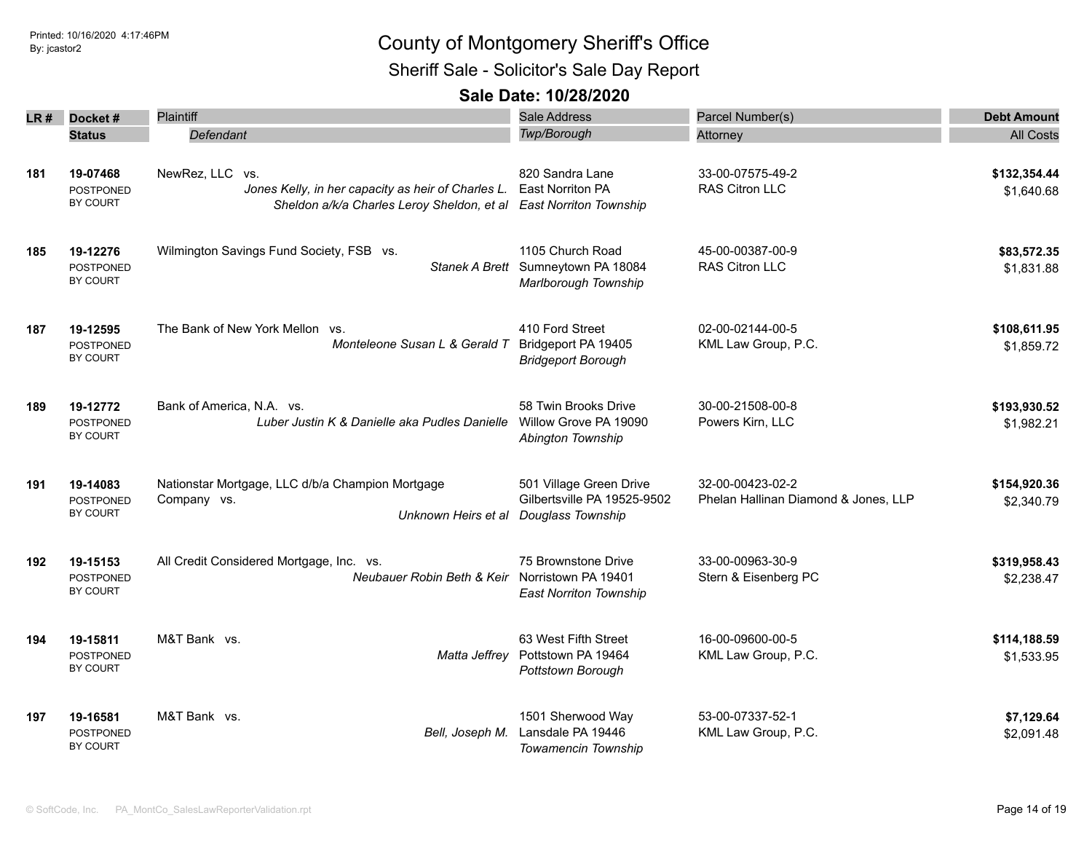Sheriff Sale - Solicitor's Sale Day Report

| LR# | Docket#                                         | Plaintiff                                                                                                           | Sale Address                                                                   | Parcel Number(s)                                         | <b>Debt Amount</b>         |  |
|-----|-------------------------------------------------|---------------------------------------------------------------------------------------------------------------------|--------------------------------------------------------------------------------|----------------------------------------------------------|----------------------------|--|
|     | <b>Status</b>                                   | Defendant                                                                                                           | Twp/Borough                                                                    | Attorney                                                 | <b>All Costs</b>           |  |
| 181 | 19-07468<br>POSTPONED<br>BY COURT               | NewRez, LLC vs.<br>Jones Kelly, in her capacity as heir of Charles L.<br>Sheldon a/k/a Charles Leroy Sheldon, et al | 820 Sandra Lane<br>East Norriton PA<br><b>East Norriton Township</b>           | 33-00-07575-49-2<br>RAS Citron LLC                       | \$132,354.44<br>\$1,640.68 |  |
| 185 | 19-12276<br><b>POSTPONED</b><br><b>BY COURT</b> | Wilmington Savings Fund Society, FSB vs.                                                                            | 1105 Church Road<br>Stanek A Brett Sumneytown PA 18084<br>Marlborough Township | 45-00-00387-00-9<br><b>RAS Citron LLC</b>                | \$83,572.35<br>\$1,831.88  |  |
| 187 | 19-12595<br>POSTPONED<br>BY COURT               | The Bank of New York Mellon vs.<br>Monteleone Susan L & Gerald T                                                    | 410 Ford Street<br>Bridgeport PA 19405<br><b>Bridgeport Borough</b>            | 02-00-02144-00-5<br>KML Law Group, P.C.                  | \$108,611.95<br>\$1,859.72 |  |
| 189 | 19-12772<br><b>POSTPONED</b><br><b>BY COURT</b> | Bank of America, N.A. vs.<br>Luber Justin K & Danielle aka Pudles Danielle                                          | 58 Twin Brooks Drive<br>Willow Grove PA 19090<br>Abington Township             | 30-00-21508-00-8<br>Powers Kirn, LLC                     | \$193,930.52<br>\$1,982.21 |  |
| 191 | 19-14083<br><b>POSTPONED</b><br><b>BY COURT</b> | Nationstar Mortgage, LLC d/b/a Champion Mortgage<br>Company vs.<br>Unknown Heirs et al                              | 501 Village Green Drive<br>Gilbertsville PA 19525-9502<br>Douglass Township    | 32-00-00423-02-2<br>Phelan Hallinan Diamond & Jones, LLP | \$154,920.36<br>\$2,340.79 |  |
| 192 | 19-15153<br>POSTPONED<br><b>BY COURT</b>        | All Credit Considered Mortgage, Inc. vs.<br>Neubauer Robin Beth & Keir                                              | 75 Brownstone Drive<br>Norristown PA 19401<br><b>East Norriton Township</b>    | 33-00-00963-30-9<br>Stern & Eisenberg PC                 | \$319,958.43<br>\$2,238.47 |  |
| 194 | 19-15811<br><b>POSTPONED</b><br><b>BY COURT</b> | M&T Bank vs.<br>Matta Jeffrey                                                                                       | 63 West Fifth Street<br>Pottstown PA 19464<br>Pottstown Borough                | 16-00-09600-00-5<br>KML Law Group, P.C.                  | \$114,188.59<br>\$1,533.95 |  |
| 197 | 19-16581<br>POSTPONED<br><b>BY COURT</b>        | M&T Bank vs.<br>Bell, Joseph M.                                                                                     | 1501 Sherwood Way<br>Lansdale PA 19446<br>Towamencin Township                  | 53-00-07337-52-1<br>KML Law Group, P.C.                  | \$7,129.64<br>\$2,091.48   |  |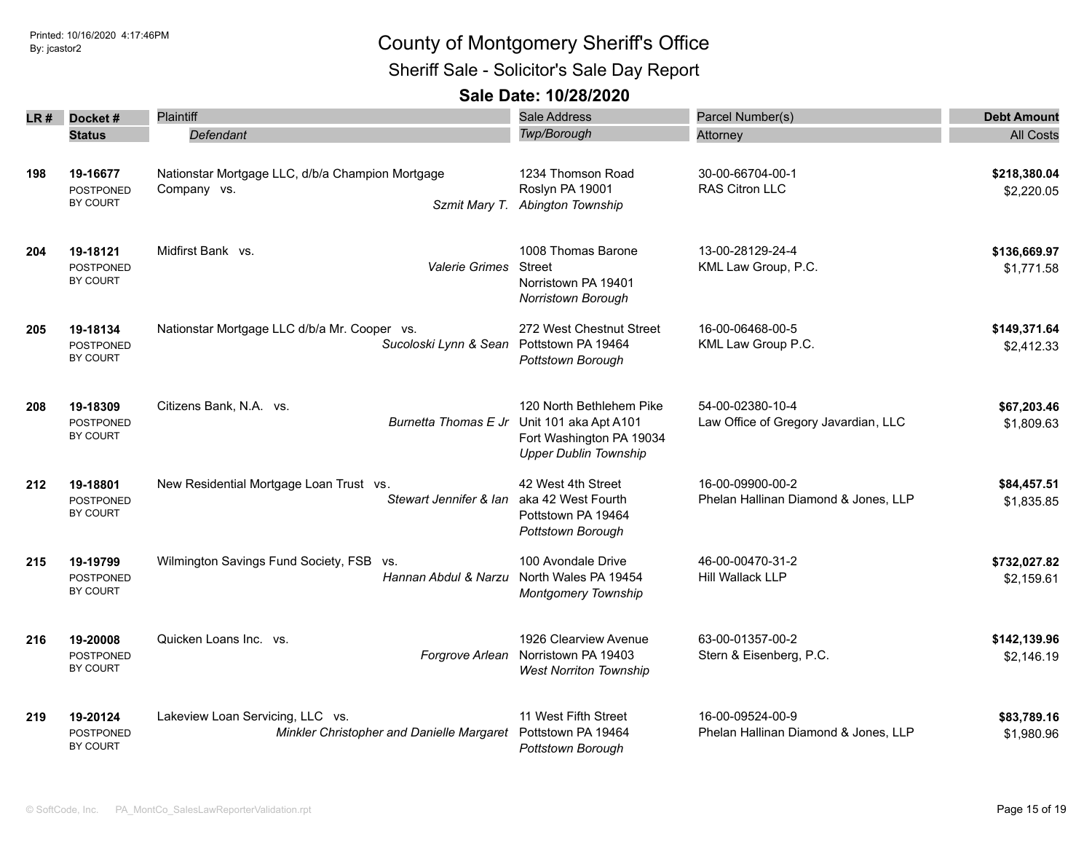Sheriff Sale - Solicitor's Sale Day Report

| LR# | Docket #                                        | Plaintiff                                                                     | Sale Address                                                                                                  | Parcel Number(s)                                         | <b>Debt Amount</b>         |
|-----|-------------------------------------------------|-------------------------------------------------------------------------------|---------------------------------------------------------------------------------------------------------------|----------------------------------------------------------|----------------------------|
|     | <b>Status</b>                                   | Defendant                                                                     | Twp/Borough                                                                                                   |                                                          | <b>All Costs</b>           |
|     |                                                 |                                                                               |                                                                                                               | Attorney                                                 |                            |
| 198 | 19-16677<br><b>POSTPONED</b><br>BY COURT        | Nationstar Mortgage LLC, d/b/a Champion Mortgage<br>Company vs.               | 1234 Thomson Road<br>Roslyn PA 19001<br>Szmit Mary T. Abington Township                                       | 30-00-66704-00-1<br><b>RAS Citron LLC</b>                | \$218,380.04<br>\$2,220.05 |
| 204 | 19-18121<br><b>POSTPONED</b><br>BY COURT        | Midfirst Bank vs.<br><b>Valerie Grimes</b>                                    | 1008 Thomas Barone<br>Street<br>Norristown PA 19401<br>Norristown Borough                                     | 13-00-28129-24-4<br>KML Law Group, P.C.                  | \$136,669.97<br>\$1,771.58 |
| 205 | 19-18134<br>POSTPONED<br>BY COURT               | Nationstar Mortgage LLC d/b/a Mr. Cooper vs.<br>Sucoloski Lynn & Sean         | 272 West Chestnut Street<br>Pottstown PA 19464<br>Pottstown Borough                                           | 16-00-06468-00-5<br>KML Law Group P.C.                   | \$149,371.64<br>\$2,412.33 |
| 208 | 19-18309<br><b>POSTPONED</b><br>BY COURT        | Citizens Bank, N.A. vs.<br>Burnetta Thomas E Jr                               | 120 North Bethlehem Pike<br>Unit 101 aka Apt A101<br>Fort Washington PA 19034<br><b>Upper Dublin Township</b> | 54-00-02380-10-4<br>Law Office of Gregory Javardian, LLC | \$67,203.46<br>\$1,809.63  |
| 212 | 19-18801<br><b>POSTPONED</b><br><b>BY COURT</b> | New Residential Mortgage Loan Trust vs.<br>Stewart Jennifer & Ian             | 42 West 4th Street<br>aka 42 West Fourth<br>Pottstown PA 19464<br>Pottstown Borough                           | 16-00-09900-00-2<br>Phelan Hallinan Diamond & Jones, LLP | \$84,457.51<br>\$1,835.85  |
| 215 | 19-19799<br><b>POSTPONED</b><br>BY COURT        | Wilmington Savings Fund Society, FSB<br>VS.<br>Hannan Abdul & Narzu           | 100 Avondale Drive<br>North Wales PA 19454<br><b>Montgomery Township</b>                                      | 46-00-00470-31-2<br><b>Hill Wallack LLP</b>              | \$732,027.82<br>\$2,159.61 |
| 216 | 19-20008<br><b>POSTPONED</b><br>BY COURT        | Quicken Loans Inc. vs.<br>Forgrove Arlean                                     | 1926 Clearview Avenue<br>Norristown PA 19403<br><b>West Norriton Township</b>                                 | 63-00-01357-00-2<br>Stern & Eisenberg, P.C.              | \$142,139.96<br>\$2,146.19 |
| 219 | 19-20124<br>POSTPONED<br>BY COURT               | Lakeview Loan Servicing, LLC vs.<br>Minkler Christopher and Danielle Margaret | 11 West Fifth Street<br>Pottstown PA 19464<br>Pottstown Borough                                               | 16-00-09524-00-9<br>Phelan Hallinan Diamond & Jones, LLP | \$83,789.16<br>\$1,980.96  |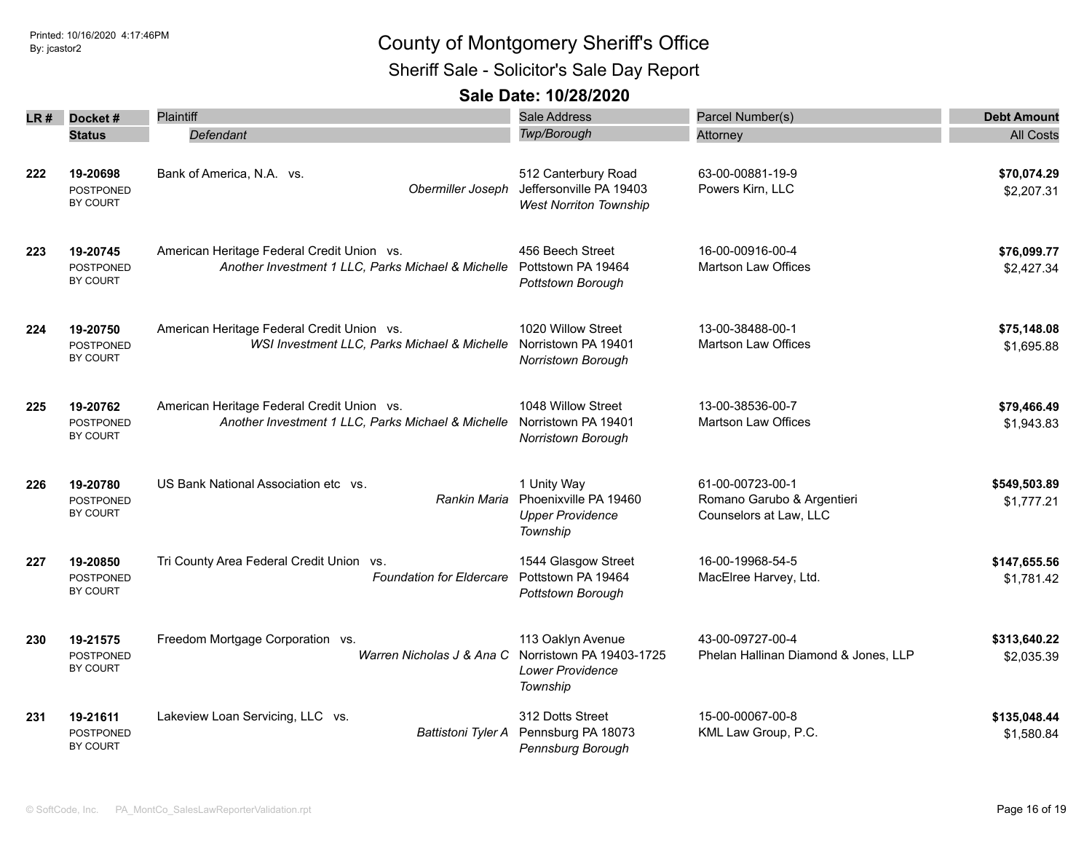Sheriff Sale - Solicitor's Sale Day Report

| LR # | Docket#                                         | Plaintiff                                                                                        | Sale Address                                                                         | Parcel Number(s)                                                         | <b>Debt Amount</b>         |
|------|-------------------------------------------------|--------------------------------------------------------------------------------------------------|--------------------------------------------------------------------------------------|--------------------------------------------------------------------------|----------------------------|
|      | <b>Status</b>                                   | Defendant                                                                                        | Twp/Borough                                                                          | Attorney                                                                 | <b>All Costs</b>           |
| 222  | 19-20698<br><b>POSTPONED</b><br>BY COURT        | Bank of America, N.A. vs.<br>Obermiller Joseph                                                   | 512 Canterbury Road<br>Jeffersonville PA 19403<br><b>West Norriton Township</b>      | 63-00-00881-19-9<br>Powers Kirn, LLC                                     | \$70,074.29<br>\$2,207.31  |
| 223  | 19-20745<br><b>POSTPONED</b><br>BY COURT        | American Heritage Federal Credit Union vs.<br>Another Investment 1 LLC, Parks Michael & Michelle | 456 Beech Street<br>Pottstown PA 19464<br>Pottstown Borough                          | 16-00-00916-00-4<br><b>Martson Law Offices</b>                           | \$76,099.77<br>\$2,427.34  |
| 224  | 19-20750<br><b>POSTPONED</b><br>BY COURT        | American Heritage Federal Credit Union vs.<br>WSI Investment LLC, Parks Michael & Michelle       | 1020 Willow Street<br>Norristown PA 19401<br>Norristown Borough                      | 13-00-38488-00-1<br><b>Martson Law Offices</b>                           | \$75,148.08<br>\$1,695.88  |
| 225  | 19-20762<br><b>POSTPONED</b><br><b>BY COURT</b> | American Heritage Federal Credit Union vs.<br>Another Investment 1 LLC, Parks Michael & Michelle | 1048 Willow Street<br>Norristown PA 19401<br>Norristown Borough                      | 13-00-38536-00-7<br>Martson Law Offices                                  | \$79,466.49<br>\$1,943.83  |
| 226  | 19-20780<br><b>POSTPONED</b><br>BY COURT        | US Bank National Association etc vs.<br>Rankin Maria                                             | 1 Unity Way<br>Phoenixville PA 19460<br><b>Upper Providence</b><br>Township          | 61-00-00723-00-1<br>Romano Garubo & Argentieri<br>Counselors at Law, LLC | \$549,503.89<br>\$1,777.21 |
| 227  | 19-20850<br><b>POSTPONED</b><br><b>BY COURT</b> | Tri County Area Federal Credit Union vs.<br><b>Foundation for Eldercare</b>                      | 1544 Glasgow Street<br>Pottstown PA 19464<br>Pottstown Borough                       | 16-00-19968-54-5<br>MacElree Harvey, Ltd.                                | \$147,655.56<br>\$1,781.42 |
| 230  | 19-21575<br><b>POSTPONED</b><br>BY COURT        | Freedom Mortgage Corporation vs.<br>Warren Nicholas J & Ana C                                    | 113 Oaklyn Avenue<br>Norristown PA 19403-1725<br><b>Lower Providence</b><br>Township | 43-00-09727-00-4<br>Phelan Hallinan Diamond & Jones, LLP                 | \$313,640.22<br>\$2,035.39 |
| 231  | 19-21611<br><b>POSTPONED</b><br>BY COURT        | Lakeview Loan Servicing, LLC vs.<br><b>Battistoni Tyler A</b>                                    | 312 Dotts Street<br>Pennsburg PA 18073<br>Pennsburg Borough                          | 15-00-00067-00-8<br>KML Law Group, P.C.                                  | \$135,048.44<br>\$1,580.84 |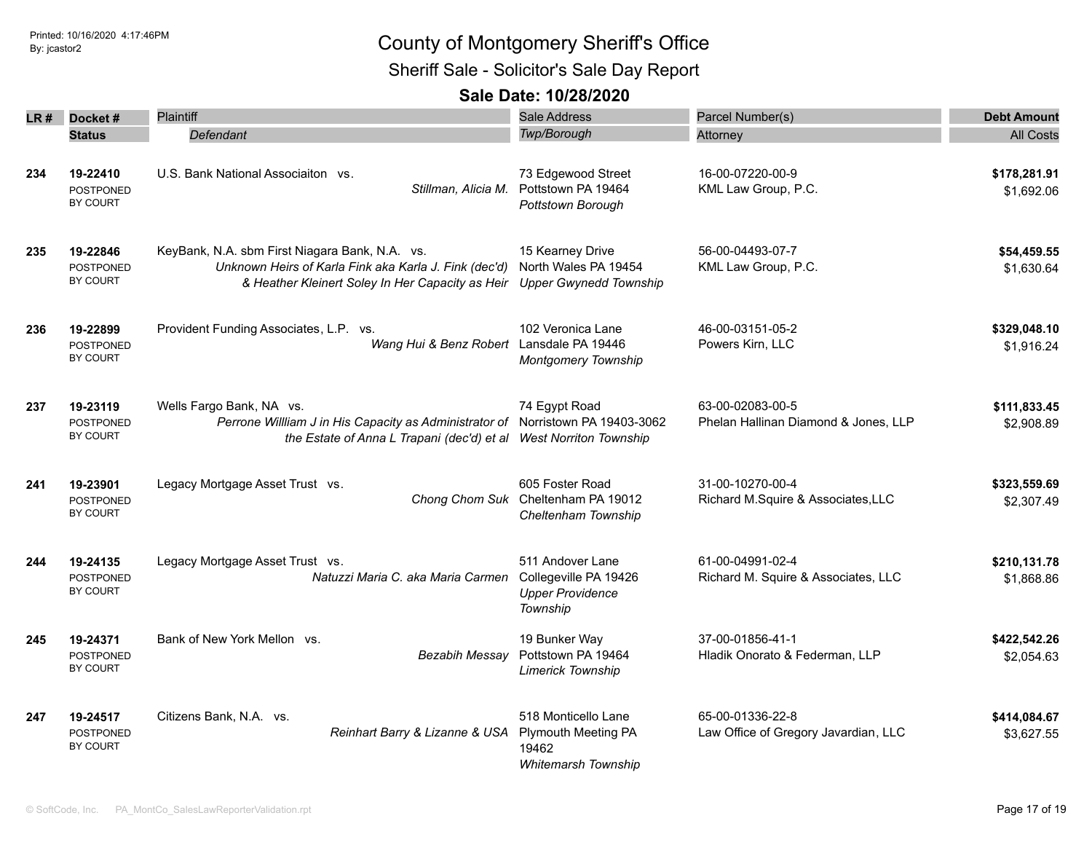Sheriff Sale - Solicitor's Sale Day Report

| LR # | Docket#                                         | <b>Plaintiff</b>                                                                                                                                                                 | <b>Sale Address</b>                                                                      | Parcel Number(s)                                         | <b>Debt Amount</b>         |
|------|-------------------------------------------------|----------------------------------------------------------------------------------------------------------------------------------------------------------------------------------|------------------------------------------------------------------------------------------|----------------------------------------------------------|----------------------------|
|      | <b>Status</b>                                   | Defendant                                                                                                                                                                        | Twp/Borough                                                                              | Attorney                                                 | <b>All Costs</b>           |
| 234  | 19-22410<br>POSTPONED<br>BY COURT               | U.S. Bank National Associaiton vs.<br>Stillman, Alicia M.                                                                                                                        | 73 Edgewood Street<br>Pottstown PA 19464<br>Pottstown Borough                            | 16-00-07220-00-9<br>KML Law Group, P.C.                  | \$178,281.91<br>\$1,692.06 |
| 235  | 19-22846<br><b>POSTPONED</b><br>BY COURT        | KeyBank, N.A. sbm First Niagara Bank, N.A. vs.<br>Unknown Heirs of Karla Fink aka Karla J. Fink (dec'd)<br>& Heather Kleinert Soley In Her Capacity as Heir                      | 15 Kearney Drive<br>North Wales PA 19454<br><b>Upper Gwynedd Township</b>                | 56-00-04493-07-7<br>KML Law Group, P.C.                  | \$54,459.55<br>\$1,630.64  |
| 236  | 19-22899<br>POSTPONED<br>BY COURT               | Provident Funding Associates, L.P. vs.<br>Wang Hui & Benz Robert Lansdale PA 19446                                                                                               | 102 Veronica Lane<br><b>Montgomery Township</b>                                          | 46-00-03151-05-2<br>Powers Kirn, LLC                     | \$329,048.10<br>\$1,916.24 |
| 237  | 19-23119<br>POSTPONED<br>BY COURT               | Wells Fargo Bank, NA vs.<br>Perrone Willliam J in His Capacity as Administrator of Norristown PA 19403-3062<br>the Estate of Anna L Trapani (dec'd) et al West Norriton Township | 74 Egypt Road                                                                            | 63-00-02083-00-5<br>Phelan Hallinan Diamond & Jones, LLP | \$111,833.45<br>\$2,908.89 |
| 241  | 19-23901<br><b>POSTPONED</b><br>BY COURT        | Legacy Mortgage Asset Trust vs.                                                                                                                                                  | 605 Foster Road<br>Chong Chom Suk Cheltenham PA 19012<br>Cheltenham Township             | 31-00-10270-00-4<br>Richard M.Squire & Associates, LLC   | \$323,559.69<br>\$2,307.49 |
| 244  | 19-24135<br><b>POSTPONED</b><br>BY COURT        | Legacy Mortgage Asset Trust vs.<br>Natuzzi Maria C. aka Maria Carmen                                                                                                             | 511 Andover Lane<br>Collegeville PA 19426<br><b>Upper Providence</b><br>Township         | 61-00-04991-02-4<br>Richard M. Squire & Associates, LLC  | \$210,131.78<br>\$1,868.86 |
| 245  | 19-24371<br>POSTPONED<br>BY COURT               | Bank of New York Mellon vs.<br>Bezabih Messay                                                                                                                                    | 19 Bunker Way<br>Pottstown PA 19464<br>Limerick Township                                 | 37-00-01856-41-1<br>Hladik Onorato & Federman, LLP       | \$422,542.26<br>\$2,054.63 |
| 247  | 19-24517<br><b>POSTPONED</b><br><b>BY COURT</b> | Citizens Bank, N.A. vs.<br>Reinhart Barry & Lizanne & USA                                                                                                                        | 518 Monticello Lane<br><b>Plymouth Meeting PA</b><br>19462<br><b>Whitemarsh Township</b> | 65-00-01336-22-8<br>Law Office of Gregory Javardian, LLC | \$414,084.67<br>\$3,627.55 |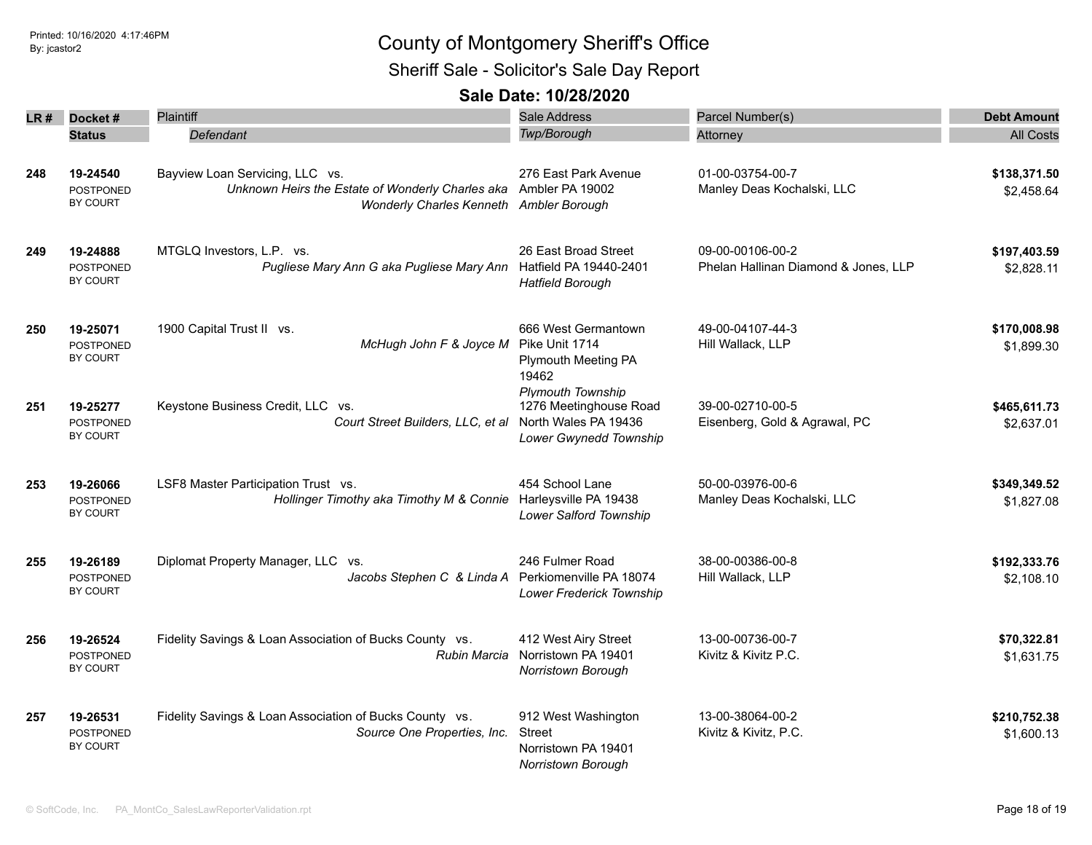Sheriff Sale - Solicitor's Sale Day Report

| LR# | Docket#                                         | Plaintiff                                                                                                                                      | <b>Sale Address</b>                                                                                  | Parcel Number(s)                                         | <b>Debt Amount</b>         |  |
|-----|-------------------------------------------------|------------------------------------------------------------------------------------------------------------------------------------------------|------------------------------------------------------------------------------------------------------|----------------------------------------------------------|----------------------------|--|
|     | <b>Status</b>                                   | Defendant                                                                                                                                      | <b>Twp/Borough</b>                                                                                   | Attorney                                                 | <b>All Costs</b>           |  |
| 248 | 19-24540<br>POSTPONED<br>BY COURT               | Bayview Loan Servicing, LLC vs.<br>Unknown Heirs the Estate of Wonderly Charles aka Ambler PA 19002<br>Wonderly Charles Kenneth Ambler Borough | 276 East Park Avenue                                                                                 | 01-00-03754-00-7<br>Manley Deas Kochalski, LLC           | \$138,371.50<br>\$2,458.64 |  |
| 249 | 19-24888<br><b>POSTPONED</b><br><b>BY COURT</b> | MTGLQ Investors, L.P. vs.<br>Pugliese Mary Ann G aka Pugliese Mary Ann                                                                         | 26 East Broad Street<br>Hatfield PA 19440-2401<br><b>Hatfield Borough</b>                            | 09-00-00106-00-2<br>Phelan Hallinan Diamond & Jones, LLP | \$197,403.59<br>\$2,828.11 |  |
| 250 | 19-25071<br>POSTPONED<br><b>BY COURT</b>        | 1900 Capital Trust II vs.<br>McHugh John F & Joyce M                                                                                           | 666 West Germantown<br>Pike Unit 1714<br>Plymouth Meeting PA<br>19462                                | 49-00-04107-44-3<br>Hill Wallack, LLP                    | \$170,008.98<br>\$1,899.30 |  |
| 251 | 19-25277<br><b>POSTPONED</b><br>BY COURT        | Keystone Business Credit, LLC vs.<br>Court Street Builders, LLC, et al                                                                         | <b>Plymouth Township</b><br>1276 Meetinghouse Road<br>North Wales PA 19436<br>Lower Gwynedd Township | 39-00-02710-00-5<br>Eisenberg, Gold & Agrawal, PC        | \$465,611.73<br>\$2,637.01 |  |
| 253 | 19-26066<br>POSTPONED<br><b>BY COURT</b>        | LSF8 Master Participation Trust vs.<br>Hollinger Timothy aka Timothy M & Connie                                                                | 454 School Lane<br>Harleysville PA 19438<br>Lower Salford Township                                   | 50-00-03976-00-6<br>Manley Deas Kochalski, LLC           | \$349,349.52<br>\$1,827.08 |  |
| 255 | 19-26189<br><b>POSTPONED</b><br><b>BY COURT</b> | Diplomat Property Manager, LLC vs.<br>Jacobs Stephen C & Linda A Perkiomenville PA 18074                                                       | 246 Fulmer Road<br>Lower Frederick Township                                                          | 38-00-00386-00-8<br>Hill Wallack, LLP                    | \$192,333.76<br>\$2,108.10 |  |
| 256 | 19-26524<br>POSTPONED<br>BY COURT               | Fidelity Savings & Loan Association of Bucks County vs.<br><b>Rubin Marcia</b>                                                                 | 412 West Airy Street<br>Norristown PA 19401<br>Norristown Borough                                    | 13-00-00736-00-7<br>Kivitz & Kivitz P.C.                 | \$70,322.81<br>\$1,631.75  |  |
| 257 | 19-26531<br><b>POSTPONED</b><br><b>BY COURT</b> | Fidelity Savings & Loan Association of Bucks County vs.<br>Source One Properties, Inc.                                                         | 912 West Washington<br>Street<br>Norristown PA 19401<br>Norristown Borough                           | 13-00-38064-00-2<br>Kivitz & Kivitz, P.C.                | \$210,752.38<br>\$1,600.13 |  |